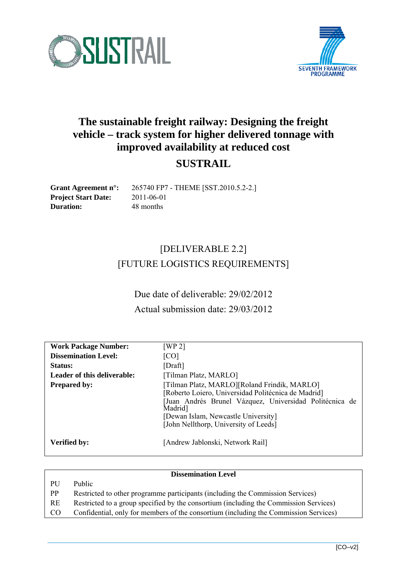



# **The sustainable freight railway: Designing the freight vehicle – track system for higher delivered tonnage with improved availability at reduced cost**

## **SUSTRAIL**

**Project Start Date:** 2011-06-01 **Duration:** 48 months

**Grant Agreement n°:** 265740 FP7 - THEME [SST.2010.5.2-2.]

# [DELIVERABLE 2.2] [FUTURE LOGISTICS REQUIREMENTS]

Due date of deliverable: 29/02/2012 Actual submission date: 29/03/2012

| <b>Work Package Number:</b> | [WP 2]                                                                                                                                                                                                                                                               |
|-----------------------------|----------------------------------------------------------------------------------------------------------------------------------------------------------------------------------------------------------------------------------------------------------------------|
| <b>Dissemination Level:</b> | [CO]                                                                                                                                                                                                                                                                 |
| Status:                     | [Draff]                                                                                                                                                                                                                                                              |
| Leader of this deliverable: | [Tilman Platz, MARLO]                                                                                                                                                                                                                                                |
| <b>Prepared by:</b>         | [Tilman Platz, MARLO][Roland Frindik, MARLO]<br>[Roberto Loiero, Universidad Politécnica de Madrid]<br>Juan Andrés Brunel Vázquez, Universidad Politécnica de<br>Madrid <sup>1</sup><br>[Dewan Islam, Newcastle University]<br>[John Nellthorp, University of Leeds] |
| Verified by:                | [Andrew Jablonski, Network Rail]                                                                                                                                                                                                                                     |

#### **Dissemination Level**

PU Public

- PP Restricted to other programme participants (including the Commission Services)
- RE Restricted to a group specified by the consortium (including the Commission Services)
- CO Confidential, only for members of the consortium (including the Commission Services)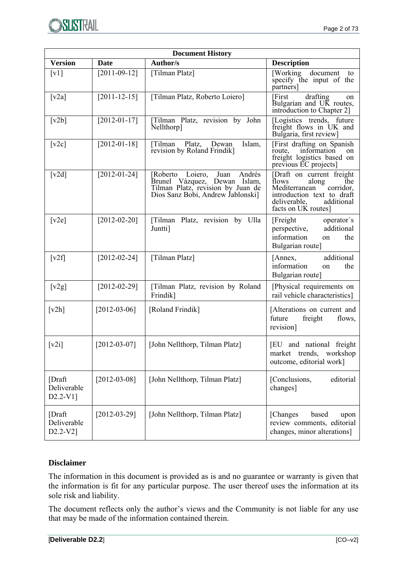

| <b>Document History</b>                                     |                    |                                                                                                                                              |                                                                                                                                                                     |  |  |  |  |
|-------------------------------------------------------------|--------------------|----------------------------------------------------------------------------------------------------------------------------------------------|---------------------------------------------------------------------------------------------------------------------------------------------------------------------|--|--|--|--|
| <b>Version</b>                                              | Date               | Author/s                                                                                                                                     | <b>Description</b>                                                                                                                                                  |  |  |  |  |
| $\lceil v \cdot 1 \rceil$                                   | $[2011 - 09 - 12]$ | [Tilman Platz]                                                                                                                               | [Working document]<br>to<br>specify the input of the<br>partners]                                                                                                   |  |  |  |  |
| $\lceil v2a \rceil$                                         | $[2011 - 12 - 15]$ | [Tilman Platz, Roberto Loiero]                                                                                                               | [First<br>drafting<br>on<br>Bulgarian and UK routes,<br>introduction to Chapter 2]                                                                                  |  |  |  |  |
| $\lceil v2b \rceil$                                         | $[2012-01-17]$     | [Tilman Platz, revision by John<br>Nellthorp]                                                                                                | [Logistics trends, future]<br>freight flows in UK and<br>Bulgaria, first review]                                                                                    |  |  |  |  |
| [v2c]                                                       | $[2012-01-18]$     | Islam,<br>[Tilman<br>Platz,<br>Dewan<br>revision by Roland Frindik]                                                                          | [First drafting on Spanish]<br>route,<br>information<br>on<br>freight logistics based on<br>previous EC projects]                                                   |  |  |  |  |
| [v2d]                                                       | $[2012-01-24]$     | [Roberto Loiero,<br>Andrés<br>Juan<br>Brunel Vázquez, Dewan Islam,<br>Tilman Platz, revision by Juan de<br>Dios Sanz Bobi, Andrew Jablonski] | [Draft on current freight<br>flows<br>along<br>the<br>Mediterranean<br>corridor.<br>introduction text to draft<br>deliverable,<br>additional<br>facts on UK routes] |  |  |  |  |
| [v2e]                                                       | $[2012-02-20]$     | [Tilman Platz, revision by Ulla<br>Juntti]                                                                                                   | [Freight]<br>operator's<br>additional<br>perspective,<br>information<br>the<br>on<br>Bulgarian route]                                                               |  |  |  |  |
| $\lceil v2f \rceil$                                         | $[2012 - 02 - 24]$ | [Tilman Platz]                                                                                                                               | additional<br>[Annex,<br>information<br>the<br>on<br>Bulgarian route]                                                                                               |  |  |  |  |
| [v2g]                                                       | $[2012 - 02 - 29]$ | [Tilman Platz, revision by Roland<br>Frindik]                                                                                                | [Physical requirements on<br>rail vehicle characteristics]                                                                                                          |  |  |  |  |
| $\lceil v2h \rceil$                                         | $[2012-03-06]$     | [Roland Frindik]                                                                                                                             | [Alterations on current and<br>freight<br>future<br>flows,<br>revision]                                                                                             |  |  |  |  |
| $\lceil v2i \rceil$                                         | $[2012-03-07]$     | [John Nellthorp, Tilman Platz]                                                                                                               | [EU and national freight<br>market trends, workshop<br>outcome, editorial work]                                                                                     |  |  |  |  |
| [Draft<br>Deliverable<br>D <sub>2.2</sub> -V <sub>1</sub> ] | $[2012-03-08]$     | [John Nellthorp, Tilman Platz]                                                                                                               | [Conclusions,<br>editorial<br>changes]                                                                                                                              |  |  |  |  |
| [Draft]<br>Deliverable<br>D2.2-V2]                          | $[2012-03-29]$     | [John Nellthorp, Tilman Platz]                                                                                                               | [Changes]<br>based<br>upon<br>review comments, editorial<br>changes, minor alterations]                                                                             |  |  |  |  |

#### **Disclaimer**

The information in this document is provided as is and no guarantee or warranty is given that the information is fit for any particular purpose. The user thereof uses the information at its sole risk and liability.

The document reflects only the author's views and the Community is not liable for any use that may be made of the information contained therein.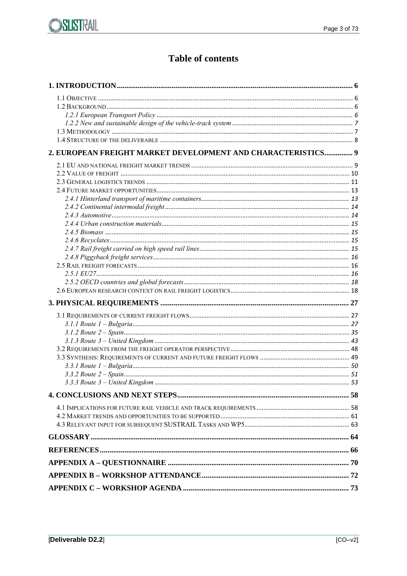## **Table of contents**

| 2. EUROPEAN FREIGHT MARKET DEVELOPMENT AND CHARACTERISTICS 9 |  |
|--------------------------------------------------------------|--|
|                                                              |  |
|                                                              |  |
|                                                              |  |
|                                                              |  |
|                                                              |  |
|                                                              |  |
|                                                              |  |
|                                                              |  |
|                                                              |  |
|                                                              |  |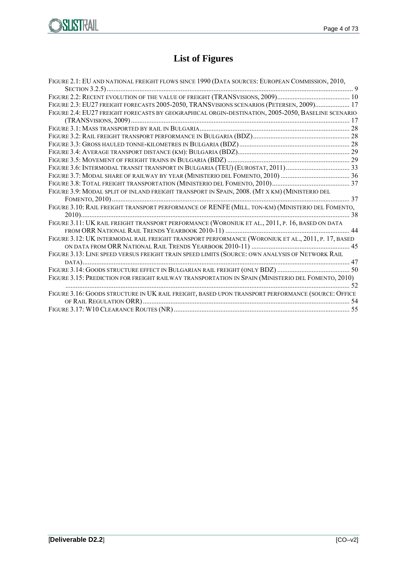

# **List of Figures**

| FIGURE 2.1: EU AND NATIONAL FREIGHT FLOWS SINCE 1990 (DATA SOURCES: EUROPEAN COMMISSION, 2010,     |  |
|----------------------------------------------------------------------------------------------------|--|
|                                                                                                    |  |
|                                                                                                    |  |
| FIGURE 2.3: EU27 FREIGHT FORECASTS 2005-2050, TRANSVISIONS SCENARIOS (PETERSEN, 2009) 17           |  |
| FIGURE 2.4: EU27 FREIGHT FORECASTS BY GEOGRAPHICAL ORGIN-DESTINATION, 2005-2050, BASELINE SCENARIO |  |
|                                                                                                    |  |
|                                                                                                    |  |
|                                                                                                    |  |
|                                                                                                    |  |
|                                                                                                    |  |
|                                                                                                    |  |
|                                                                                                    |  |
|                                                                                                    |  |
|                                                                                                    |  |
| FIGURE 3.9: MODAL SPLIT OF INLAND FREIGHT TRANSPORT IN SPAIN, 2008. (MT X KM) (MINISTERIO DEL      |  |
|                                                                                                    |  |
| FIGURE 3.10: RAIL FREIGHT TRANSPORT PERFORMANCE OF RENFE (MILL. TON-KM) (MINISTERIO DEL FOMENTO,   |  |
|                                                                                                    |  |
| FIGURE 3.11: UK RAIL FREIGHT TRANSPORT PERFORMANCE (WORONIUK ET AL., 2011, P. 16, BASED ON DATA    |  |
|                                                                                                    |  |
| FIGURE 3.12: UK INTERMODAL RAIL FREIGHT TRANSPORT PERFORMANCE (WORONIUK ET AL., 2011, P. 17, BASED |  |
|                                                                                                    |  |
| FIGURE 3.13: LINE SPEED VERSUS FREIGHT TRAIN SPEED LIMITS (SOURCE: OWN ANALYSIS OF NETWORK RAIL    |  |
|                                                                                                    |  |
|                                                                                                    |  |
| FIGURE 3.15: PREDICTION FOR FREIGHT RAILWAY TRANSPORTATION IN SPAIN (MINISTERIO DEL FOMENTO, 2010) |  |
|                                                                                                    |  |
| FIGURE 3.16: GOODS STRUCTURE IN UK RAIL FREIGHT, BASED UPON TRANSPORT PERFORMANCE (SOURCE: OFFICE  |  |
|                                                                                                    |  |
|                                                                                                    |  |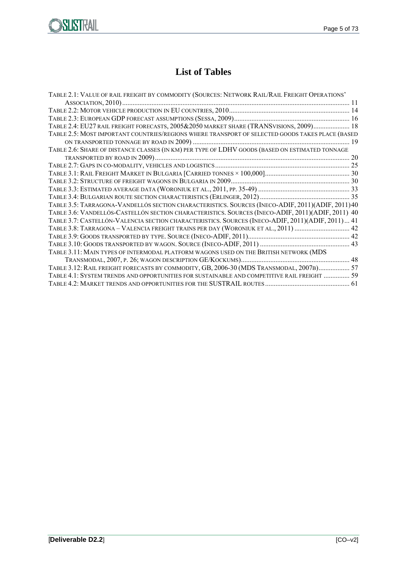



## **List of Tables**

| TABLE 2.1: VALUE OF RAIL FREIGHT BY COMMODITY (SOURCES: NETWORK RAIL/RAIL FREIGHT OPERATIONS'      |  |
|----------------------------------------------------------------------------------------------------|--|
|                                                                                                    |  |
|                                                                                                    |  |
|                                                                                                    |  |
| TABLE 2.4: EU27 RAIL FREIGHT FORECASTS, 2005&2050 MARKET SHARE (TRANSVISIONS, 2009) 18             |  |
| TABLE 2.5: MOST IMPORTANT COUNTRIES/REGIONS WHERE TRANSPORT OF SELECTED GOODS TAKES PLACE (BASED   |  |
|                                                                                                    |  |
| TABLE 2.6: SHARE OF DISTANCE CLASSES (IN KM) PER TYPE OF LDHV GOODS (BASED ON ESTIMATED TONNAGE    |  |
|                                                                                                    |  |
|                                                                                                    |  |
|                                                                                                    |  |
|                                                                                                    |  |
|                                                                                                    |  |
|                                                                                                    |  |
| TABLE 3.5: TARRAGONA-VANDELLÓS SECTION CHARACTERISTICS. SOURCES (INECO-ADIF, 2011) (ADIF, 2011) 40 |  |
| TABLE 3.6: VANDELLÓS-CASTELLÓN SECTION CHARACTERISTICS. SOURCES (INECO-ADIF, 2011) (ADIF, 2011) 40 |  |
| TABLE 3.7: CASTELLÓN-VALENCIA SECTION CHARACTERISTICS. SOURCES (INECO-ADIF, 2011) (ADIF, 2011)  41 |  |
| TABLE 3.8: TARRAGONA - VALENCIA FREIGHT TRAINS PER DAY (WORONIUK ET AL., 2011)  42                 |  |
|                                                                                                    |  |
|                                                                                                    |  |
| TABLE 3.11: MAIN TYPES OF INTERMODAL PLATFORM WAGONS USED ON THE BRITISH NETWORK (MDS              |  |
|                                                                                                    |  |
| TABLE 3.12: RAIL FREIGHT FORECASTS BY COMMODITY, GB, 2006-30 (MDS TRANSMODAL, 2007B) 57            |  |
| 59. TABLE 4.1: SYSTEM TRENDS AND OPPORTUNITIES FOR SUSTAINABLE AND COMPETITIVE RAIL FREIGHT        |  |
|                                                                                                    |  |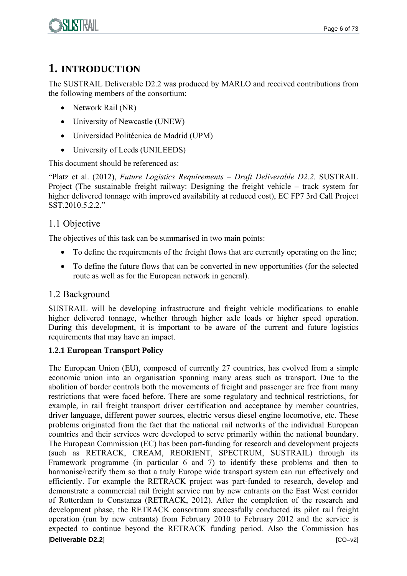

## **1. INTRODUCTION**

The SUSTRAIL Deliverable D2.2 was produced by MARLO and received contributions from the following members of the consortium:

- Network Rail (NR)
- University of Newcastle (UNEW)
- Universidad Politécnica de Madrid (UPM)
- University of Leeds (UNILEEDS)

This document should be referenced as:

"Platz et al. (2012), *Future Logistics Requirements – Draft Deliverable D2.2.* SUSTRAIL Project (The sustainable freight railway: Designing the freight vehicle – track system for higher delivered tonnage with improved availability at reduced cost), EC FP7 3rd Call Project SST.2010.5.2.2."

## 1.1 Objective

The objectives of this task can be summarised in two main points:

- To define the requirements of the freight flows that are currently operating on the line;
- To define the future flows that can be converted in new opportunities (for the selected route as well as for the European network in general).

### 1.2 Background

SUSTRAIL will be developing infrastructure and freight vehicle modifications to enable higher delivered tonnage, whether through higher axle loads or higher speed operation. During this development, it is important to be aware of the current and future logistics requirements that may have an impact.

#### **1.2.1 European Transport Policy**

[**Deliverable D2.2**] [CO–v2] The European Union (EU), composed of currently 27 countries, has evolved from a simple economic union into an organisation spanning many areas such as transport. Due to the abolition of border controls both the movements of freight and passenger are free from many restrictions that were faced before. There are some regulatory and technical restrictions, for example, in rail freight transport driver certification and acceptance by member countries, driver language, different power sources, electric versus diesel engine locomotive, etc. These problems originated from the fact that the national rail networks of the individual European countries and their services were developed to serve primarily within the national boundary. The European Commission (EC) has been part-funding for research and development projects (such as RETRACK, CREAM, REORIENT, SPECTRUM, SUSTRAIL) through its Framework programme (in particular 6 and 7) to identify these problems and then to harmonise/rectify them so that a truly Europe wide transport system can run effectively and efficiently. For example the RETRACK project was part-funded to research, develop and demonstrate a commercial rail freight service run by new entrants on the East West corridor of Rotterdam to Constanza (RETRACK, 2012). After the completion of the research and development phase, the RETRACK consortium successfully conducted its pilot rail freight operation (run by new entrants) from February 2010 to February 2012 and the service is expected to continue beyond the RETRACK funding period. Also the Commission has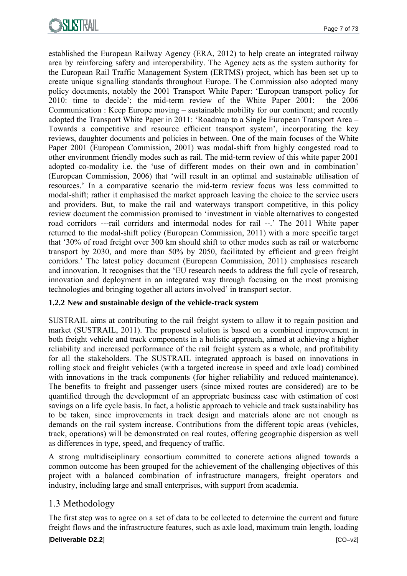established the European Railway Agency (ERA, 2012) to help create an integrated railway area by reinforcing safety and interoperability. The Agency acts as the system authority for the European Rail Traffic Management System (ERTMS) project, which has been set up to create unique signalling standards throughout Europe. The Commission also adopted many policy documents, notably the 2001 Transport White Paper: 'European transport policy for 2010: time to decide'; the mid-term review of the White Paper 2001: the 2006 Communication : Keep Europe moving – sustainable mobility for our continent; and recently adopted the Transport White Paper in 2011: 'Roadmap to a Single European Transport Area – Towards a competitive and resource efficient transport system', incorporating the key reviews, daughter documents and policies in between. One of the main focuses of the White Paper 2001 (European Commission, 2001) was modal-shift from highly congested road to other environment friendly modes such as rail. The mid-term review of this white paper 2001 adopted co-modality i.e. the 'use of different modes on their own and in combination' (European Commission, 2006) that 'will result in an optimal and sustainable utilisation of resources.' In a comparative scenario the mid-term review focus was less committed to modal-shift; rather it emphasised the market approach leaving the choice to the service users and providers. But, to make the rail and waterways transport competitive, in this policy review document the commission promised to 'investment in viable alternatives to congested road corridors ---rail corridors and intermodal nodes for rail --.' The 2011 White paper returned to the modal-shift policy (European Commission, 2011) with a more specific target that '30% of road freight over 300 km should shift to other modes such as rail or waterborne transport by 2030, and more than 50% by 2050, facilitated by efficient and green freight corridors.' The latest policy document (European Commission, 2011) emphasises research and innovation. It recognises that the 'EU research needs to address the full cycle of research, innovation and deployment in an integrated way through focusing on the most promising technologies and bringing together all actors involved' in transport sector.

#### **1.2.2 New and sustainable design of the vehicle-track system**

SUSTRAIL aims at contributing to the rail freight system to allow it to regain position and market (SUSTRAIL, 2011). The proposed solution is based on a combined improvement in both freight vehicle and track components in a holistic approach, aimed at achieving a higher reliability and increased performance of the rail freight system as a whole, and profitability for all the stakeholders. The SUSTRAIL integrated approach is based on innovations in rolling stock and freight vehicles (with a targeted increase in speed and axle load) combined with innovations in the track components (for higher reliability and reduced maintenance). The benefits to freight and passenger users (since mixed routes are considered) are to be quantified through the development of an appropriate business case with estimation of cost savings on a life cycle basis. In fact, a holistic approach to vehicle and track sustainability has to be taken, since improvements in track design and materials alone are not enough as demands on the rail system increase. Contributions from the different topic areas (vehicles, track, operations) will be demonstrated on real routes, offering geographic dispersion as well as differences in type, speed, and frequency of traffic.

A strong multidisciplinary consortium committed to concrete actions aligned towards a common outcome has been grouped for the achievement of the challenging objectives of this project with a balanced combination of infrastructure managers, freight operators and industry, including large and small enterprises, with support from academia.

## 1.3 Methodology

The first step was to agree on a set of data to be collected to determine the current and future freight flows and the infrastructure features, such as axle load, maximum train length, loading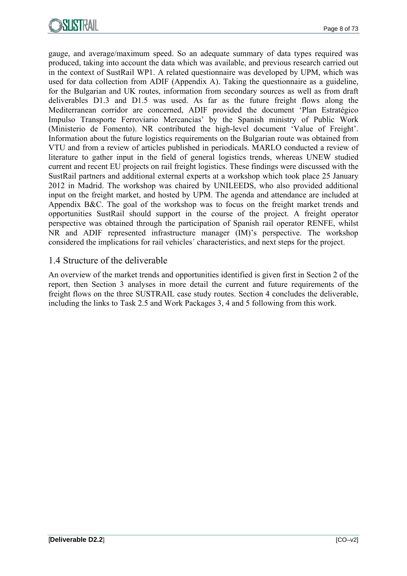

gauge, and average/maximum speed. So an adequate summary of data types required was produced, taking into account the data which was available, and previous research carried out in the context of SustRail WP1. A related questionnaire was developed by UPM, which was used for data collection from ADIF (Appendix A). Taking the questionnaire as a guideline, for the Bulgarian and UK routes, information from secondary sources as well as from draft deliverables D1.3 and D1.5 was used. As far as the future freight flows along the Mediterranean corridor are concerned, ADIF provided the document 'Plan Estratégico Impulso Transporte Ferroviario Mercancías' by the Spanish ministry of Public Work (Ministerio de Fomento). NR contributed the high-level document 'Value of Freight'. Information about the future logistics requirements on the Bulgarian route was obtained from VTU and from a review of articles published in periodicals. MARLO conducted a review of literature to gather input in the field of general logistics trends, whereas UNEW studied current and recent EU projects on rail freight logistics. These findings were discussed with the SustRail partners and additional external experts at a workshop which took place 25 January 2012 in Madrid. The workshop was chaired by UNILEEDS, who also provided additional input on the freight market, and hosted by UPM. The agenda and attendance are included at Appendix B&C. The goal of the workshop was to focus on the freight market trends and opportunities SustRail should support in the course of the project. A freight operator perspective was obtained through the participation of Spanish rail operator RENFE, whilst NR and ADIF represented infrastructure manager (IM)'s perspective. The workshop considered the implications for rail vehicles´ characteristics, and next steps for the project.

#### 1.4 Structure of the deliverable

An overview of the market trends and opportunities identified is given first in Section 2 of the report, then Section 3 analyses in more detail the current and future requirements of the freight flows on the three SUSTRAIL case study routes. Section 4 concludes the deliverable, including the links to Task 2.5 and Work Packages 3, 4 and 5 following from this work.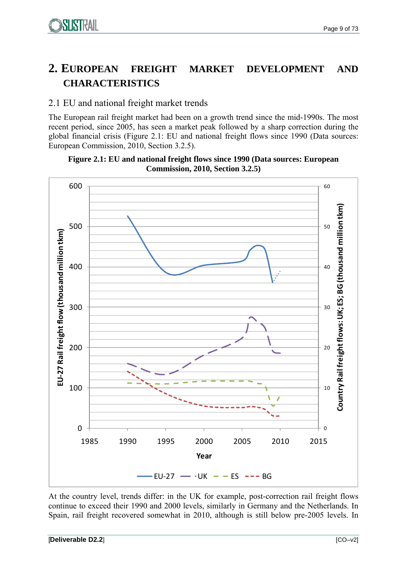# **2. EUROPEAN FREIGHT MARKET DEVELOPMENT AND CHARACTERISTICS**

## 2.1 EU and national freight market trends

The European rail freight market had been on a growth trend since the mid-1990s. The most recent period, since 2005, has seen a market peak followed by a sharp correction during the global financial crisis (Figure 2.1: EU and national freight flows since 1990 (Data sources: European Commission, 2010, Section 3.2.5).





At the country level, trends differ: in the UK for example, post-correction rail freight flows continue to exceed their 1990 and 2000 levels, similarly in Germany and the Netherlands. In Spain, rail freight recovered somewhat in 2010, although is still below pre-2005 levels. In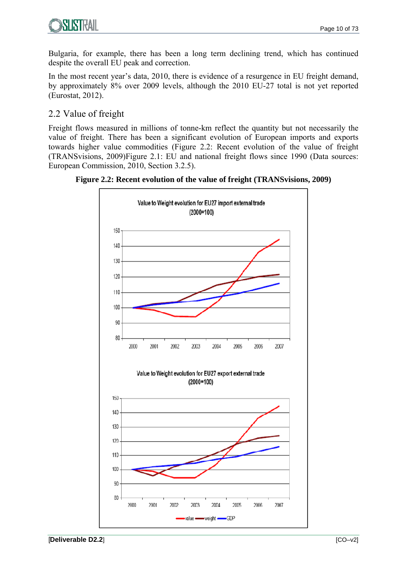

Bulgaria, for example, there has been a long term declining trend, which has continued despite the overall EU peak and correction.

In the most recent year's data, 2010, there is evidence of a resurgence in EU freight demand, by approximately 8% over 2009 levels, although the 2010 EU-27 total is not yet reported (Eurostat, 2012).

## 2.2 Value of freight

Freight flows measured in millions of tonne-km reflect the quantity but not necessarily the value of freight. There has been a significant evolution of European imports and exports towards higher value commodities (Figure 2.2: Recent evolution of the value of freight (TRANSvisions, 2009)Figure 2.1: EU and national freight flows since 1990 (Data sources: European Commission, 2010, Section 3.2.5).

**Figure 2.2: Recent evolution of the value of freight (TRANSvisions, 2009)** 

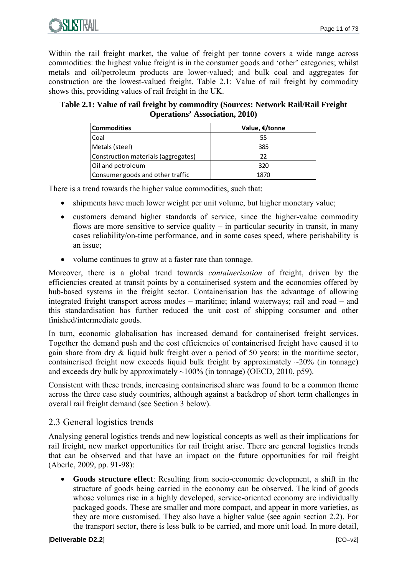

Within the rail freight market, the value of freight per tonne covers a wide range across commodities: the highest value freight is in the consumer goods and 'other' categories; whilst metals and oil/petroleum products are lower-valued; and bulk coal and aggregates for construction are the lowest-valued freight. Table 2.1: Value of rail freight by commodity shows this, providing values of rail freight in the UK.

#### **Table 2.1: Value of rail freight by commodity (Sources: Network Rail/Rail Freight Operations' Association, 2010)**

| <b>Commodities</b>                  | Value, €/tonne |
|-------------------------------------|----------------|
| Coal                                | 55             |
| Metals (steel)                      | 385            |
| Construction materials (aggregates) | つつ             |
| Oil and petroleum                   | 320            |
| Consumer goods and other traffic    | 1870           |

There is a trend towards the higher value commodities, such that:

- shipments have much lower weight per unit volume, but higher monetary value;
- customers demand higher standards of service, since the higher-value commodity flows are more sensitive to service quality  $-$  in particular security in transit, in many cases reliability/on-time performance, and in some cases speed, where perishability is an issue;
- volume continues to grow at a faster rate than tonnage.

Moreover, there is a global trend towards *containerisation* of freight, driven by the efficiencies created at transit points by a containerised system and the economies offered by hub-based systems in the freight sector. Containerisation has the advantage of allowing integrated freight transport across modes – maritime; inland waterways; rail and road – and this standardisation has further reduced the unit cost of shipping consumer and other finished/intermediate goods.

In turn, economic globalisation has increased demand for containerised freight services. Together the demand push and the cost efficiencies of containerised freight have caused it to gain share from dry & liquid bulk freight over a period of 50 years: in the maritime sector, containerised freight now exceeds liquid bulk freight by approximately  $\sim$ 20% (in tonnage) and exceeds dry bulk by approximately  $\sim$ 100% (in tonnage) (OECD, 2010, p59).

Consistent with these trends, increasing containerised share was found to be a common theme across the three case study countries, although against a backdrop of short term challenges in overall rail freight demand (see Section 3 below).

## 2.3 General logistics trends

Analysing general logistics trends and new logistical concepts as well as their implications for rail freight, new market opportunities for rail freight arise. There are general logistics trends that can be observed and that have an impact on the future opportunities for rail freight (Aberle, 2009, pp. 91-98):

 **Goods structure effect**: Resulting from socio-economic development, a shift in the structure of goods being carried in the economy can be observed. The kind of goods whose volumes rise in a highly developed, service-oriented economy are individually packaged goods. These are smaller and more compact, and appear in more varieties, as they are more customised. They also have a higher value (see again section 2.2). For the transport sector, there is less bulk to be carried, and more unit load. In more detail,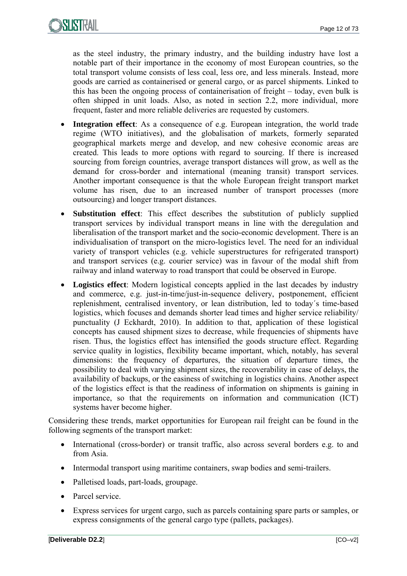

as the steel industry, the primary industry, and the building industry have lost a notable part of their importance in the economy of most European countries, so the total transport volume consists of less coal, less ore, and less minerals. Instead, more goods are carried as containerised or general cargo, or as parcel shipments. Linked to this has been the ongoing process of containerisation of freight – today, even bulk is often shipped in unit loads. Also, as noted in section 2.2, more individual, more frequent, faster and more reliable deliveries are requested by customers.

- **Integration effect**: As a consequence of e.g. European integration, the world trade regime (WTO initiatives), and the globalisation of markets, formerly separated geographical markets merge and develop, and new cohesive economic areas are created. This leads to more options with regard to sourcing. If there is increased sourcing from foreign countries, average transport distances will grow, as well as the demand for cross-border and international (meaning transit) transport services. Another important consequence is that the whole European freight transport market volume has risen, due to an increased number of transport processes (more outsourcing) and longer transport distances.
- **Substitution effect**: This effect describes the substitution of publicly supplied transport services by individual transport means in line with the deregulation and liberalisation of the transport market and the socio-economic development. There is an individualisation of transport on the micro-logistics level. The need for an individual variety of transport vehicles (e.g. vehicle superstructures for refrigerated transport) and transport services (e.g. courier service) was in favour of the modal shift from railway and inland waterway to road transport that could be observed in Europe.
- **Logistics effect**: Modern logistical concepts applied in the last decades by industry and commerce, e.g. just-in-time/just-in-sequence delivery, postponement, efficient replenishment, centralised inventory, or lean distribution, led to today´s time-based logistics, which focuses and demands shorter lead times and higher service reliability/ punctuality (J Eckhardt, 2010). In addition to that, application of these logistical concepts has caused shipment sizes to decrease, while frequencies of shipments have risen. Thus, the logistics effect has intensified the goods structure effect. Regarding service quality in logistics, flexibility became important, which, notably, has several dimensions: the frequency of departures, the situation of departure times, the possibility to deal with varying shipment sizes, the recoverability in case of delays, the availability of backups, or the easiness of switching in logistics chains. Another aspect of the logistics effect is that the readiness of information on shipments is gaining in importance, so that the requirements on information and communication (ICT) systems haver become higher.

Considering these trends, market opportunities for European rail freight can be found in the following segments of the transport market:

- International (cross-border) or transit traffic, also across several borders e.g. to and from Asia.
- Intermodal transport using maritime containers, swap bodies and semi-trailers.
- Palletised loads, part-loads, groupage.
- Parcel service.
- Express services for urgent cargo, such as parcels containing spare parts or samples, or express consignments of the general cargo type (pallets, packages).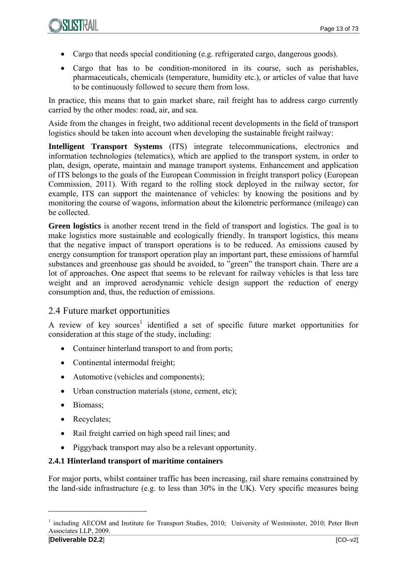

- Cargo that needs special conditioning (e.g. refrigerated cargo, dangerous goods).
- Cargo that has to be condition-monitored in its course, such as perishables, pharmaceuticals, chemicals (temperature, humidity etc.), or articles of value that have to be continuously followed to secure them from loss.

In practice, this means that to gain market share, rail freight has to address cargo currently carried by the other modes: road, air, and sea.

Aside from the changes in freight, two additional recent developments in the field of transport logistics should be taken into account when developing the sustainable freight railway:

**Intelligent Transport Systems** (ITS) integrate telecommunications, electronics and information technologies (telematics), which are applied to the transport system, in order to plan, design, operate, maintain and manage transport systems. Enhancement and application of ITS belongs to the goals of the European Commission in freight transport policy (European Commission, 2011). With regard to the rolling stock deployed in the railway sector, for example, ITS can support the maintenance of vehicles: by knowing the positions and by monitoring the course of wagons, information about the kilometric performance (mileage) can be collected.

**Green logistics** is another recent trend in the field of transport and logistics. The goal is to make logistics more sustainable and ecologically friendly. In transport logistics, this means that the negative impact of transport operations is to be reduced. As emissions caused by energy consumption for transport operation play an important part, these emissions of harmful substances and greenhouse gas should be avoided, to "green" the transport chain. There are a lot of approaches. One aspect that seems to be relevant for railway vehicles is that less tare weight and an improved aerodynamic vehicle design support the reduction of energy consumption and, thus, the reduction of emissions.

#### 2.4 Future market opportunities

A review of key sources<sup>1</sup> identified a set of specific future market opportunities for consideration at this stage of the study, including:

- Container hinterland transport to and from ports;
- Continental intermodal freight;
- Automotive (vehicles and components);
- Urban construction materials (stone, cement, etc);
- Biomass;
- Recyclates;
- Rail freight carried on high speed rail lines; and
- Piggyback transport may also be a relevant opportunity.

#### **2.4.1 Hinterland transport of maritime containers**

For major ports, whilst container traffic has been increasing, rail share remains constrained by the land-side infrastructure (e.g. to less than 30% in the UK). Very specific measures being

1

<sup>&</sup>lt;sup>1</sup> including AECOM and Institute for Transport Studies, 2010; University of Westminster, 2010; Peter Brett Associates LLP, 2009.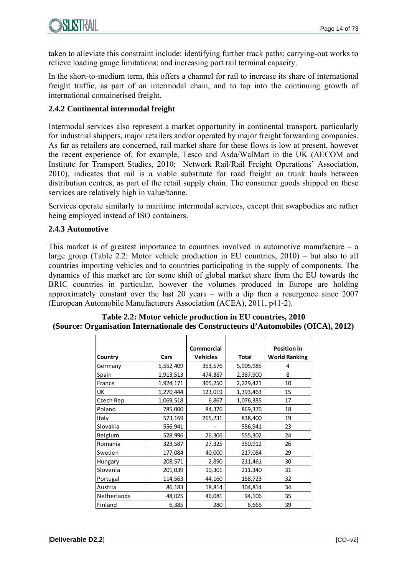taken to alleviate this constraint include: identifying further track paths; carrying-out works to relieve loading gauge limitations; and increasing port rail terminal capacity.

In the short-to-medium term, this offers a channel for rail to increase its share of international freight traffic, as part of an intermodal chain, and to tap into the continuing growth of international containerised freight.

### **2.4.2 Continental intermodal freight**

Intermodal services also represent a market opportunity in continental transport, particularly for industrial shippers, major retailers and/or operated by major freight forwarding companies. As far as retailers are concerned, rail market share for these flows is low at present, however the recent experience of, for example, Tesco and Asda/WalMart in the UK (AECOM and Institute for Transport Studies, 2010; Network Rail/Rail Freight Operations' Association, 2010), indicates that rail is a viable substitute for road freight on trunk hauls between distribution centres, as part of the retail supply chain. The consumer goods shipped on these services are relatively high in value/tonne.

Services operate similarly to maritime intermodal services, except that swapbodies are rather being employed instead of ISO containers.

#### **2.4.3 Automotive**

This market is of greatest importance to countries involved in automotive manufacture  $-$  a large group (Table 2.2: Motor vehicle production in EU countries, 2010) – but also to all countries importing vehicles and to countries participating in the supply of components. The dynamics of this market are for some shift of global market share from the EU towards the BRIC countries in particular, however the volumes produced in Europe are holding approximately constant over the last 20 years – with a dip then a resurgence since 2007 (European Automobile Manufacturers Association (ACEA), 2011, p41-2).

|             |           | <b>Commercial</b> |              | <b>Position in</b>   |
|-------------|-----------|-------------------|--------------|----------------------|
| Country     | Cars      | <b>Vehicles</b>   | <b>Total</b> | <b>World Ranking</b> |
| Germany     | 5,552,409 | 353,576           | 5,905,985    | 4                    |
| Spain       | 1,913,513 | 474,387           | 2,387,900    | 8                    |
| France      | 1,924,171 | 305,250           | 2,229,421    | 10                   |
| UK          | 1,270,444 | 123,019           | 1,393,463    | 15                   |
| Czech Rep.  | 1,069,518 | 6,867             | 1,076,385    | 17                   |
| Poland      | 785,000   | 84,376            | 869,376      | 18                   |
| Italy       | 573,169   | 265,231           | 838,400      | 19                   |
| Slovakia    | 556,941   |                   | 556,941      | 23                   |
| Belgium     | 528,996   | 26,306            | 555,302      | 24                   |
| Romania     | 323,587   | 27,325            | 350,912      | 26                   |
| Sweden      | 177,084   | 40,000            | 217,084      | 29                   |
| Hungary     | 208,571   | 2,890             | 211,461      | 30                   |
| Slovenia    | 201,039   | 10,301            | 211,340      | 31                   |
| Portugal    | 114,563   | 44,160            | 158,723      | 32                   |
| Austria     | 86,183    | 18,814            | 104,814      | 34                   |
| Netherlands | 48,025    | 46,081            | 94,106       | 35                   |
| Finland     | 6,385     | 280               | 6,665        | 39                   |

#### **Table 2.2: Motor vehicle production in EU countries, 2010 (Source: Organisation Internationale des Constructeurs d'Automobiles (OICA), 2012)**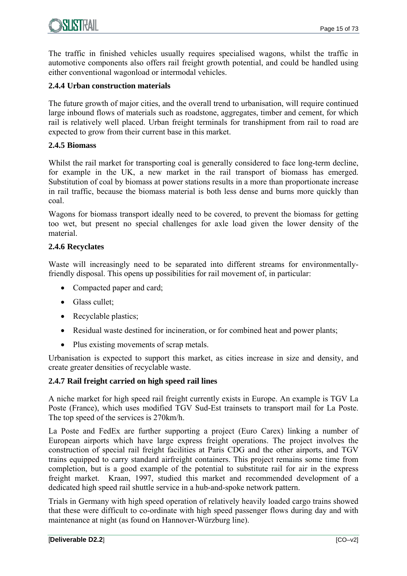

The traffic in finished vehicles usually requires specialised wagons, whilst the traffic in automotive components also offers rail freight growth potential, and could be handled using either conventional wagonload or intermodal vehicles.

#### **2.4.4 Urban construction materials**

The future growth of major cities, and the overall trend to urbanisation, will require continued large inbound flows of materials such as roadstone, aggregates, timber and cement, for which rail is relatively well placed. Urban freight terminals for transhipment from rail to road are expected to grow from their current base in this market.

#### **2.4.5 Biomass**

Whilst the rail market for transporting coal is generally considered to face long-term decline, for example in the UK, a new market in the rail transport of biomass has emerged. Substitution of coal by biomass at power stations results in a more than proportionate increase in rail traffic, because the biomass material is both less dense and burns more quickly than coal.

Wagons for biomass transport ideally need to be covered, to prevent the biomass for getting too wet, but present no special challenges for axle load given the lower density of the material.

#### **2.4.6 Recyclates**

Waste will increasingly need to be separated into different streams for environmentallyfriendly disposal. This opens up possibilities for rail movement of, in particular:

- Compacted paper and card;
- Glass cullet;
- Recyclable plastics;
- Residual waste destined for incineration, or for combined heat and power plants;
- Plus existing movements of scrap metals.

Urbanisation is expected to support this market, as cities increase in size and density, and create greater densities of recyclable waste.

#### **2.4.7 Rail freight carried on high speed rail lines**

A niche market for high speed rail freight currently exists in Europe. An example is TGV La Poste (France), which uses modified TGV Sud-Est trainsets to transport mail for La Poste. The top speed of the services is 270km/h.

La Poste and FedEx are further supporting a project (Euro Carex) linking a number of European airports which have large express freight operations. The project involves the construction of special rail freight facilities at Paris CDG and the other airports, and TGV trains equipped to carry standard airfreight containers. This project remains some time from completion, but is a good example of the potential to substitute rail for air in the express freight market. Kraan, 1997, studied this market and recommended development of a dedicated high speed rail shuttle service in a hub-and-spoke network pattern.

Trials in Germany with high speed operation of relatively heavily loaded cargo trains showed that these were difficult to co-ordinate with high speed passenger flows during day and with maintenance at night (as found on Hannover-Würzburg line).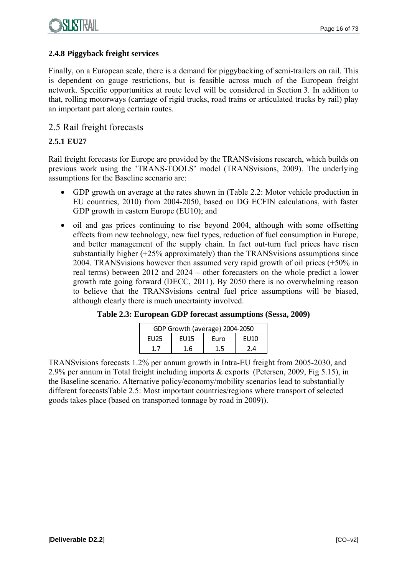#### **2.4.8 Piggyback freight services**

Finally, on a European scale, there is a demand for piggybacking of semi-trailers on rail. This is dependent on gauge restrictions, but is feasible across much of the European freight network. Specific opportunities at route level will be considered in Section 3. In addition to that, rolling motorways (carriage of rigid trucks, road trains or articulated trucks by rail) play an important part along certain routes.

### 2.5 Rail freight forecasts

#### **2.5.1 EU27**

Rail freight forecasts for Europe are provided by the TRANSvisions research, which builds on previous work using the 'TRANS-TOOLS' model (TRANSvisions, 2009). The underlying assumptions for the Baseline scenario are:

- GDP growth on average at the rates shown in (Table 2.2: Motor vehicle production in EU countries, 2010) from 2004-2050, based on DG ECFIN calculations, with faster GDP growth in eastern Europe (EU10); and
- oil and gas prices continuing to rise beyond 2004, although with some offsetting effects from new technology, new fuel types, reduction of fuel consumption in Europe, and better management of the supply chain. In fact out-turn fuel prices have risen substantially higher (+25% approximately) than the TRANSvisions assumptions since 2004. TRANSvisions however then assumed very rapid growth of oil prices (+50% in real terms) between 2012 and 2024 – other forecasters on the whole predict a lower growth rate going forward (DECC, 2011). By 2050 there is no overwhelming reason to believe that the TRANSvisions central fuel price assumptions will be biased, although clearly there is much uncertainty involved.

| GDP Growth (average) 2004-2050         |     |  |     |  |
|----------------------------------------|-----|--|-----|--|
| FU 125<br>Furo<br>FU15<br><b>FI110</b> |     |  |     |  |
|                                        | 1 հ |  | 4 י |  |

**Table 2.3: European GDP forecast assumptions (Sessa, 2009)** 

TRANSvisions forecasts 1.2% per annum growth in Intra-EU freight from 2005-2030, and 2.9% per annum in Total freight including imports & exports (Petersen, 2009, Fig 5.15), in the Baseline scenario. Alternative policy/economy/mobility scenarios lead to substantially different forecastsTable 2.5: Most important countries/regions where transport of selected goods takes place (based on transported tonnage by road in 2009)).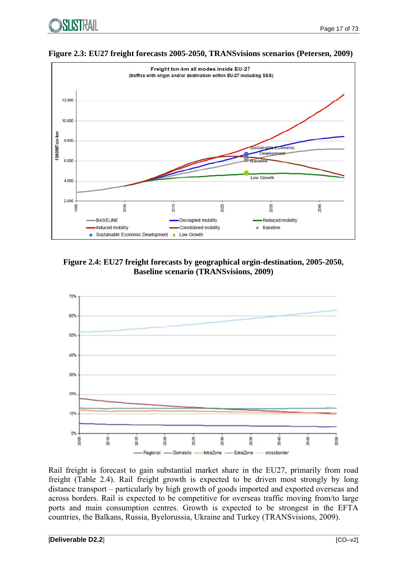



**Figure 2.3: EU27 freight forecasts 2005-2050, TRANSvisions scenarios (Petersen, 2009)** 

**Figure 2.4: EU27 freight forecasts by geographical orgin-destination, 2005-2050, Baseline scenario (TRANSvisions, 2009)** 



Rail freight is forecast to gain substantial market share in the EU27, primarily from road freight (Table 2.4). Rail freight growth is expected to be driven most strongly by long distance transport – particularly by high growth of goods imported and exported overseas and across borders. Rail is expected to be competitive for overseas traffic moving from/to large ports and main consumption centres. Growth is expected to be strongest in the EFTA countries, the Balkans, Russia, Byelorussia, Ukraine and Turkey (TRANSvisions, 2009).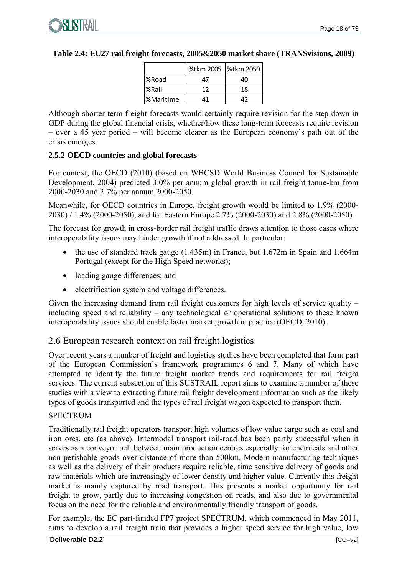|            | %tkm 2005  %tkm 2050 |    |
|------------|----------------------|----|
| %Road      |                      |    |
| l%Rail     | 17                   | 18 |
| l%Maritime | Λ1                   |    |

#### **Table 2.4: EU27 rail freight forecasts, 2005&2050 market share (TRANSvisions, 2009)**

Although shorter-term freight forecasts would certainly require revision for the step-down in GDP during the global financial crisis, whether/how these long-term forecasts require revision – over a  $45$  year period – will become clearer as the European economy's path out of the crisis emerges.

#### **2.5.2 OECD countries and global forecasts**

For context, the OECD (2010) (based on WBCSD World Business Council for Sustainable Development, 2004) predicted 3.0% per annum global growth in rail freight tonne-km from 2000-2030 and 2.7% per annum 2000-2050.

Meanwhile, for OECD countries in Europe, freight growth would be limited to 1.9% (2000- 2030) / 1.4% (2000-2050), and for Eastern Europe 2.7% (2000-2030) and 2.8% (2000-2050).

The forecast for growth in cross-border rail freight traffic draws attention to those cases where interoperability issues may hinder growth if not addressed. In particular:

- the use of standard track gauge (1.435m) in France, but 1.672m in Spain and 1.664m Portugal (except for the High Speed networks);
- loading gauge differences; and
- electrification system and voltage differences.

Given the increasing demand from rail freight customers for high levels of service quality – including speed and reliability – any technological or operational solutions to these known interoperability issues should enable faster market growth in practice (OECD, 2010).

### 2.6 European research context on rail freight logistics

Over recent years a number of freight and logistics studies have been completed that form part of the European Commission's framework programmes 6 and 7. Many of which have attempted to identify the future freight market trends and requirements for rail freight services. The current subsection of this SUSTRAIL report aims to examine a number of these studies with a view to extracting future rail freight development information such as the likely types of goods transported and the types of rail freight wagon expected to transport them.

#### SPECTRUM

Traditionally rail freight operators transport high volumes of low value cargo such as coal and iron ores, etc (as above). Intermodal transport rail-road has been partly successful when it serves as a conveyor belt between main production centres especially for chemicals and other non-perishable goods over distance of more than 500km. Modern manufacturing techniques as well as the delivery of their products require reliable, time sensitive delivery of goods and raw materials which are increasingly of lower density and higher value. Currently this freight market is mainly captured by road transport. This presents a market opportunity for rail freight to grow, partly due to increasing congestion on roads, and also due to governmental focus on the need for the reliable and environmentally friendly transport of goods.

For example, the EC part-funded FP7 project SPECTRUM, which commenced in May 2011, aims to develop a rail freight train that provides a higher speed service for high value, low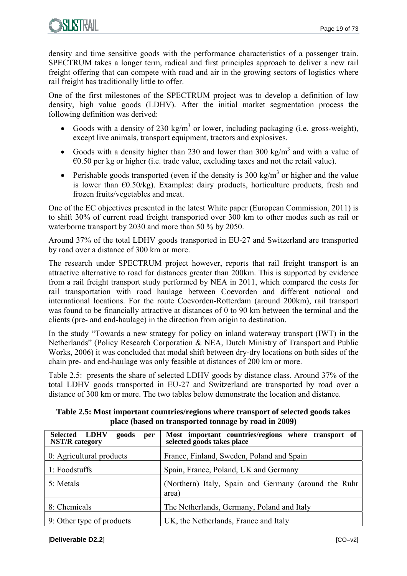

density and time sensitive goods with the performance characteristics of a passenger train. SPECTRUM takes a longer term, radical and first principles approach to deliver a new rail freight offering that can compete with road and air in the growing sectors of logistics where rail freight has traditionally little to offer.

One of the first milestones of the SPECTRUM project was to develop a definition of low density, high value goods (LDHV). After the initial market segmentation process the following definition was derived:

- Goods with a density of 230 kg/m<sup>3</sup> or lower, including packaging (i.e. gross-weight), except live animals, transport equipment, tractors and explosives.
- Goods with a density higher than 230 and lower than 300 kg/m<sup>3</sup> and with a value of  $\epsilon$ 0.50 per kg or higher (i.e. trade value, excluding taxes and not the retail value).
- Perishable goods transported (even if the density is 300 kg/m<sup>3</sup> or higher and the value is lower than  $\epsilon$ 0.50/kg). Examples: dairy products, horticulture products, fresh and frozen fruits/vegetables and meat.

One of the EC objectives presented in the latest White paper (European Commission, 2011) is to shift 30% of current road freight transported over 300 km to other modes such as rail or waterborne transport by 2030 and more than 50 % by 2050.

Around 37% of the total LDHV goods transported in EU-27 and Switzerland are transported by road over a distance of 300 km or more.

The research under SPECTRUM project however, reports that rail freight transport is an attractive alternative to road for distances greater than 200km. This is supported by evidence from a rail freight transport study performed by NEA in 2011, which compared the costs for rail transportation with road haulage between Coevorden and different national and international locations. For the route Coevorden-Rotterdam (around 200km), rail transport was found to be financially attractive at distances of 0 to 90 km between the terminal and the clients (pre- and end-haulage) in the direction from origin to destination.

In the study "Towards a new strategy for policy on inland waterway transport (IWT) in the Netherlands" (Policy Research Corporation & NEA, Dutch Ministry of Transport and Public Works, 2006) it was concluded that modal shift between dry-dry locations on both sides of the chain pre- and end-haulage was only feasible at distances of 200 km or more.

Table 2.5: presents the share of selected LDHV goods by distance class. Around 37% of the total LDHV goods transported in EU-27 and Switzerland are transported by road over a distance of 300 km or more. The two tables below demonstrate the location and distance.

| <b>Selected LDHV</b><br>goods<br>per<br><b>NST/R</b> category | Most important countries/regions where transport of<br>selected goods takes place |
|---------------------------------------------------------------|-----------------------------------------------------------------------------------|
| 0: Agricultural products                                      | France, Finland, Sweden, Poland and Spain                                         |
| 1: Foodstuffs                                                 | Spain, France, Poland, UK and Germany                                             |
| 5: Metals                                                     | (Northern) Italy, Spain and Germany (around the Ruhr<br>area)                     |
| 8: Chemicals                                                  | The Netherlands, Germany, Poland and Italy                                        |
| 9: Other type of products                                     | UK, the Netherlands, France and Italy                                             |

**Table 2.5: Most important countries/regions where transport of selected goods takes place (based on transported tonnage by road in 2009)**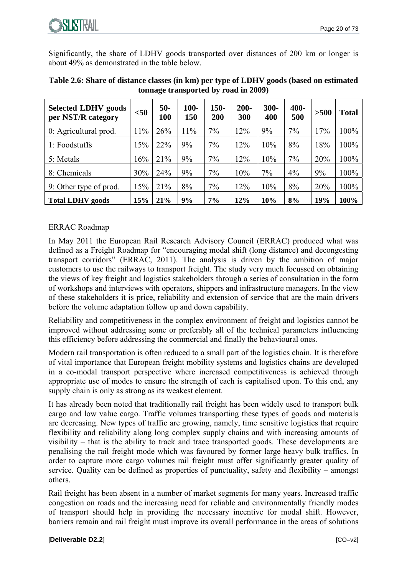

Significantly, the share of LDHV goods transported over distances of 200 km or longer is about 49% as demonstrated in the table below.

| <b>Selected LDHV goods</b><br>per NST/R category | $<$ 50 | $50-$<br>100 | $100-$<br>150 | $150 -$<br>200 | $200 -$<br>300 | $300 -$<br>400 | 400-<br>500 | >500 | <b>Total</b> |
|--------------------------------------------------|--------|--------------|---------------|----------------|----------------|----------------|-------------|------|--------------|
| 0: Agricultural prod.                            | 11%    | 26%          | 11%           | $7\%$          | 12%            | 9%             | $7\%$       | 17%  | 100%         |
| 1: Foodstuffs                                    | 15%    | 22%          | 9%            | 7%             | 12%            | 10%            | 8%          | 18%  | 100%         |
| 5: Metals                                        | 16%    | 21%          | 9%            | 7%             | 12%            | 10%            | $7\%$       | 20%  | 100%         |
| 8: Chemicals                                     | 30%    | 24%          | 9%            | 7%             | 10%            | 7%             | 4%          | 9%   | 100%         |
| 9: Other type of prod.                           | 15%    | 21%          | 8%            | 7%             | 12%            | 10%            | 8%          | 20%  | 100%         |
| <b>Total LDHV</b> goods                          | 15%    | 21%          | 9%            | 7%             | 12%            | 10%            | 8%          | 19%  | 100%         |

| Table 2.6: Share of distance classes (in km) per type of LDHV goods (based on estimated |
|-----------------------------------------------------------------------------------------|
| tonnage transported by road in 2009)                                                    |

#### ERRAC Roadmap

In May 2011 the European Rail Research Advisory Council (ERRAC) produced what was defined as a Freight Roadmap for "encouraging modal shift (long distance) and decongesting transport corridors" (ERRAC, 2011). The analysis is driven by the ambition of major customers to use the railways to transport freight. The study very much focussed on obtaining the views of key freight and logistics stakeholders through a series of consultation in the form of workshops and interviews with operators, shippers and infrastructure managers. In the view of these stakeholders it is price, reliability and extension of service that are the main drivers before the volume adaptation follow up and down capability.

Reliability and competitiveness in the complex environment of freight and logistics cannot be improved without addressing some or preferably all of the technical parameters influencing this efficiency before addressing the commercial and finally the behavioural ones.

Modern rail transportation is often reduced to a small part of the logistics chain. It is therefore of vital importance that European freight mobility systems and logistics chains are developed in a co-modal transport perspective where increased competitiveness is achieved through appropriate use of modes to ensure the strength of each is capitalised upon. To this end, any supply chain is only as strong as its weakest element.

It has already been noted that traditionally rail freight has been widely used to transport bulk cargo and low value cargo. Traffic volumes transporting these types of goods and materials are decreasing. New types of traffic are growing, namely, time sensitive logistics that require flexibility and reliability along long complex supply chains and with increasing amounts of visibility – that is the ability to track and trace transported goods. These developments are penalising the rail freight mode which was favoured by former large heavy bulk traffics. In order to capture more cargo volumes rail freight must offer significantly greater quality of service. Quality can be defined as properties of punctuality, safety and flexibility – amongst others.

Rail freight has been absent in a number of market segments for many years. Increased traffic congestion on roads and the increasing need for reliable and environmentally friendly modes of transport should help in providing the necessary incentive for modal shift. However, barriers remain and rail freight must improve its overall performance in the areas of solutions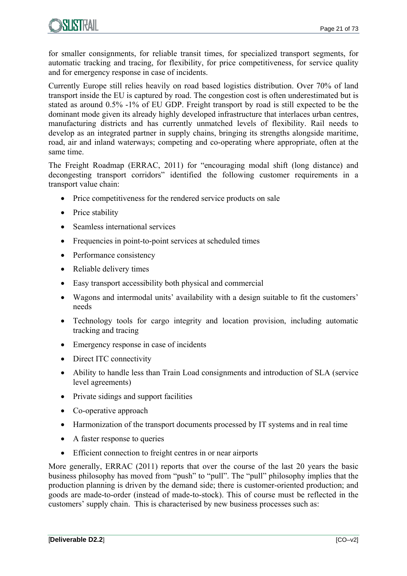

for smaller consignments, for reliable transit times, for specialized transport segments, for automatic tracking and tracing, for flexibility, for price competitiveness, for service quality and for emergency response in case of incidents.

Currently Europe still relies heavily on road based logistics distribution. Over 70% of land transport inside the EU is captured by road. The congestion cost is often underestimated but is stated as around 0.5% -1% of EU GDP. Freight transport by road is still expected to be the dominant mode given its already highly developed infrastructure that interlaces urban centres, manufacturing districts and has currently unmatched levels of flexibility. Rail needs to develop as an integrated partner in supply chains, bringing its strengths alongside maritime, road, air and inland waterways; competing and co-operating where appropriate, often at the same time.

The Freight Roadmap (ERRAC, 2011) for "encouraging modal shift (long distance) and decongesting transport corridors" identified the following customer requirements in a transport value chain:

- Price competitiveness for the rendered service products on sale
- Price stability
- Seamless international services
- Frequencies in point-to-point services at scheduled times
- Performance consistency
- Reliable delivery times
- Easy transport accessibility both physical and commercial
- Wagons and intermodal units' availability with a design suitable to fit the customers' needs
- Technology tools for cargo integrity and location provision, including automatic tracking and tracing
- Emergency response in case of incidents
- Direct ITC connectivity
- Ability to handle less than Train Load consignments and introduction of SLA (service level agreements)
- Private sidings and support facilities
- Co-operative approach
- Harmonization of the transport documents processed by IT systems and in real time
- A faster response to queries
- Efficient connection to freight centres in or near airports

More generally, ERRAC (2011) reports that over the course of the last 20 years the basic business philosophy has moved from "push" to "pull". The "pull" philosophy implies that the production planning is driven by the demand side; there is customer-oriented production; and goods are made-to-order (instead of made-to-stock). This of course must be reflected in the customers' supply chain. This is characterised by new business processes such as: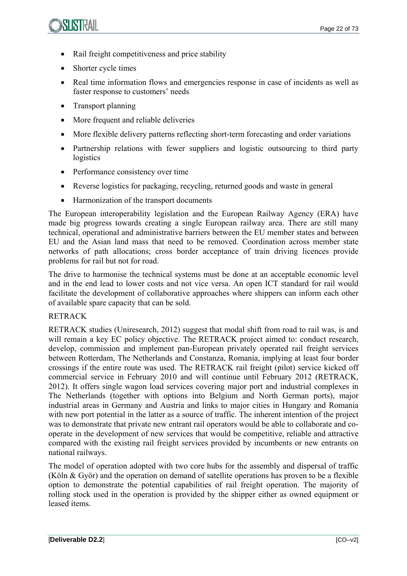

- Rail freight competitiveness and price stability
- Shorter cycle times
- Real time information flows and emergencies response in case of incidents as well as faster response to customers' needs
- Transport planning
- More frequent and reliable deliveries
- More flexible delivery patterns reflecting short-term forecasting and order variations
- Partnership relations with fewer suppliers and logistic outsourcing to third party logistics
- Performance consistency over time
- Reverse logistics for packaging, recycling, returned goods and waste in general
- Harmonization of the transport documents

The European interoperability legislation and the European Railway Agency (ERA) have made big progress towards creating a single European railway area. There are still many technical, operational and administrative barriers between the EU member states and between EU and the Asian land mass that need to be removed. Coordination across member state networks of path allocations; cross border acceptance of train driving licences provide problems for rail but not for road.

The drive to harmonise the technical systems must be done at an acceptable economic level and in the end lead to lower costs and not vice versa. An open ICT standard for rail would facilitate the development of collaborative approaches where shippers can inform each other of available spare capacity that can be sold.

### RETRACK

RETRACK studies (Uniresearch, 2012) suggest that modal shift from road to rail was, is and will remain a key EC policy objective. The RETRACK project aimed to: conduct research, develop, commission and implement pan-European privately operated rail freight services between Rotterdam, The Netherlands and Constanza, Romania, implying at least four border crossings if the entire route was used. The RETRACK rail freight (pilot) service kicked off commercial service in February 2010 and will continue until February 2012 (RETRACK, 2012). It offers single wagon load services covering major port and industrial complexes in The Netherlands (together with options into Belgium and North German ports), major industrial areas in Germany and Austria and links to major cities in Hungary and Romania with new port potential in the latter as a source of traffic. The inherent intention of the project was to demonstrate that private new entrant rail operators would be able to collaborate and cooperate in the development of new services that would be competitive, reliable and attractive compared with the existing rail freight services provided by incumbents or new entrants on national railways.

The model of operation adopted with two core hubs for the assembly and dispersal of traffic (Köln & Györ) and the operation on demand of satellite operations has proven to be a flexible option to demonstrate the potential capabilities of rail freight operation. The majority of rolling stock used in the operation is provided by the shipper either as owned equipment or leased items.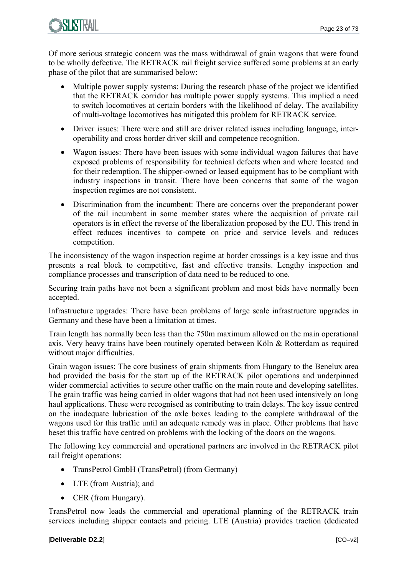

Of more serious strategic concern was the mass withdrawal of grain wagons that were found to be wholly defective. The RETRACK rail freight service suffered some problems at an early phase of the pilot that are summarised below:

- Multiple power supply systems: During the research phase of the project we identified that the RETRACK corridor has multiple power supply systems. This implied a need to switch locomotives at certain borders with the likelihood of delay. The availability of multi-voltage locomotives has mitigated this problem for RETRACK service.
- Driver issues: There were and still are driver related issues including language, interoperability and cross border driver skill and competence recognition.
- Wagon issues: There have been issues with some individual wagon failures that have exposed problems of responsibility for technical defects when and where located and for their redemption. The shipper-owned or leased equipment has to be compliant with industry inspections in transit. There have been concerns that some of the wagon inspection regimes are not consistent.
- Discrimination from the incumbent: There are concerns over the preponderant power of the rail incumbent in some member states where the acquisition of private rail operators is in effect the reverse of the liberalization proposed by the EU. This trend in effect reduces incentives to compete on price and service levels and reduces competition.

The inconsistency of the wagon inspection regime at border crossings is a key issue and thus presents a real block to competitive, fast and effective transits. Lengthy inspection and compliance processes and transcription of data need to be reduced to one.

Securing train paths have not been a significant problem and most bids have normally been accepted.

Infrastructure upgrades: There have been problems of large scale infrastructure upgrades in Germany and these have been a limitation at times.

Train length has normally been less than the 750m maximum allowed on the main operational axis. Very heavy trains have been routinely operated between Köln & Rotterdam as required without major difficulties.

Grain wagon issues: The core business of grain shipments from Hungary to the Benelux area had provided the basis for the start up of the RETRACK pilot operations and underpinned wider commercial activities to secure other traffic on the main route and developing satellites. The grain traffic was being carried in older wagons that had not been used intensively on long haul applications. These were recognised as contributing to train delays. The key issue centred on the inadequate lubrication of the axle boxes leading to the complete withdrawal of the wagons used for this traffic until an adequate remedy was in place. Other problems that have beset this traffic have centred on problems with the locking of the doors on the wagons.

The following key commercial and operational partners are involved in the RETRACK pilot rail freight operations:

- TransPetrol GmbH (TransPetrol) (from Germany)
- LTE (from Austria): and
- CER (from Hungary).

TransPetrol now leads the commercial and operational planning of the RETRACK train services including shipper contacts and pricing. LTE (Austria) provides traction (dedicated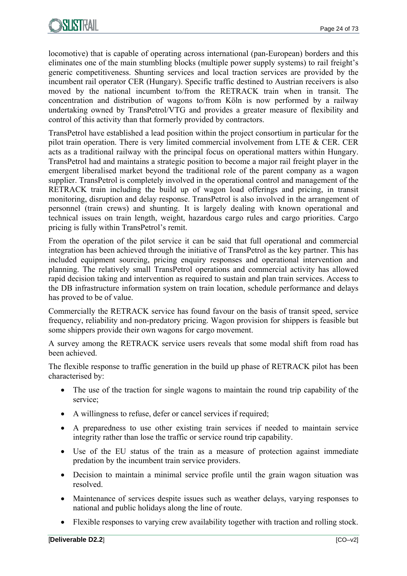

locomotive) that is capable of operating across international (pan-European) borders and this eliminates one of the main stumbling blocks (multiple power supply systems) to rail freight's generic competitiveness. Shunting services and local traction services are provided by the incumbent rail operator CER (Hungary). Specific traffic destined to Austrian receivers is also moved by the national incumbent to/from the RETRACK train when in transit. The concentration and distribution of wagons to/from Köln is now performed by a railway undertaking owned by TransPetrol/VTG and provides a greater measure of flexibility and control of this activity than that formerly provided by contractors.

TransPetrol have established a lead position within the project consortium in particular for the pilot train operation. There is very limited commercial involvement from LTE & CER. CER acts as a traditional railway with the principal focus on operational matters within Hungary. TransPetrol had and maintains a strategic position to become a major rail freight player in the emergent liberalised market beyond the traditional role of the parent company as a wagon supplier. TransPetrol is completely involved in the operational control and management of the RETRACK train including the build up of wagon load offerings and pricing, in transit monitoring, disruption and delay response. TransPetrol is also involved in the arrangement of personnel (train crews) and shunting. It is largely dealing with known operational and technical issues on train length, weight, hazardous cargo rules and cargo priorities. Cargo pricing is fully within TransPetrol's remit.

From the operation of the pilot service it can be said that full operational and commercial integration has been achieved through the initiative of TransPetrol as the key partner. This has included equipment sourcing, pricing enquiry responses and operational intervention and planning. The relatively small TransPetrol operations and commercial activity has allowed rapid decision taking and intervention as required to sustain and plan train services. Access to the DB infrastructure information system on train location, schedule performance and delays has proved to be of value.

Commercially the RETRACK service has found favour on the basis of transit speed, service frequency, reliability and non-predatory pricing. Wagon provision for shippers is feasible but some shippers provide their own wagons for cargo movement.

A survey among the RETRACK service users reveals that some modal shift from road has been achieved.

The flexible response to traffic generation in the build up phase of RETRACK pilot has been characterised by:

- The use of the traction for single wagons to maintain the round trip capability of the service;
- A willingness to refuse, defer or cancel services if required;
- A preparedness to use other existing train services if needed to maintain service integrity rather than lose the traffic or service round trip capability.
- Use of the EU status of the train as a measure of protection against immediate predation by the incumbent train service providers.
- Decision to maintain a minimal service profile until the grain wagon situation was resolved.
- Maintenance of services despite issues such as weather delays, varying responses to national and public holidays along the line of route.
- Flexible responses to varying crew availability together with traction and rolling stock.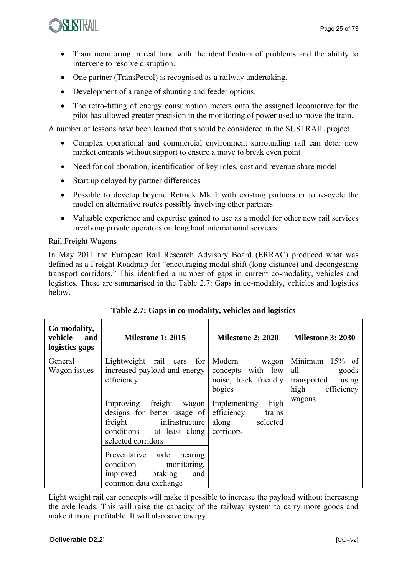

- Train monitoring in real time with the identification of problems and the ability to intervene to resolve disruption.
- One partner (TransPetrol) is recognised as a railway undertaking.
- Development of a range of shunting and feeder options.
- The retro-fitting of energy consumption meters onto the assigned locomotive for the pilot has allowed greater precision in the monitoring of power used to move the train.

A number of lessons have been learned that should be considered in the SUSTRAIL project.

- Complex operational and commercial environment surrounding rail can deter new market entrants without support to ensure a move to break even point
- Need for collaboration, identification of key roles, cost and revenue share model
- Start up delayed by partner differences
- Possible to develop beyond Retrack Mk 1 with existing partners or to re-cycle the model on alternative routes possibly involving other partners
- Valuable experience and expertise gained to use as a model for other new rail services involving private operators on long haul international services

#### Rail Freight Wagons

In May 2011 the European Rail Research Advisory Board (ERRAC) produced what was defined as a Freight Roadmap for "encouraging modal shift (long distance) and decongesting transport corridors." This identified a number of gaps in current co-modality, vehicles and logistics. These are summarised in the Table 2.7: Gaps in co-modality, vehicles and logistics below.

| Co-modality,<br>vehicle<br>and<br>logistics gaps | <b>Milestone 1: 2015</b>                                                                                                                         | <b>Milestone 2: 2020</b>                                                       | <b>Milestone 3: 2030</b>                                                           |
|--------------------------------------------------|--------------------------------------------------------------------------------------------------------------------------------------------------|--------------------------------------------------------------------------------|------------------------------------------------------------------------------------|
| General<br>Wagon issues                          | Lightweight rail cars for<br>increased payload and energy<br>efficiency                                                                          | Modern wagon<br>concepts with low<br>noise, track friendly<br>bogies           | Minimum<br>$15\%$ of<br>all<br>goods<br>transported<br>using<br>high<br>efficiency |
|                                                  | freight<br>Improving<br>wagon<br>designs for better usage of<br>freight<br>infrastructure<br>conditions $-$ at least along<br>selected corridors | high<br>Implementing<br>efficiency<br>trains<br>along<br>selected<br>corridors | wagons                                                                             |
|                                                  | Preventative axle<br>bearing<br>condition<br>monitoring,<br>braking<br>and<br>improved<br>common data exchange                                   |                                                                                |                                                                                    |

| Table 2.7: Gaps in co-modality, vehicles and logistics |  |  |  |  |  |
|--------------------------------------------------------|--|--|--|--|--|
|--------------------------------------------------------|--|--|--|--|--|

Light weight rail car concepts will make it possible to increase the payload without increasing the axle loads. This will raise the capacity of the railway system to carry more goods and make it more profitable. It will also save energy.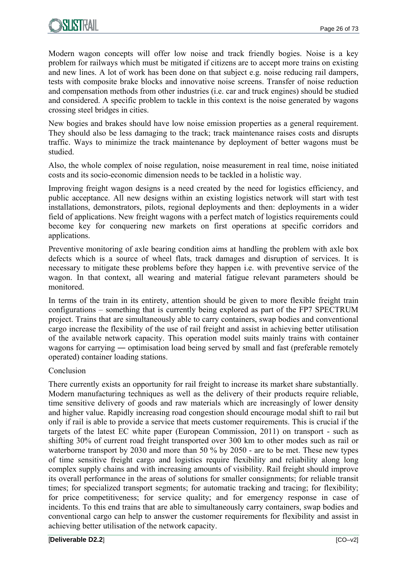

Modern wagon concepts will offer low noise and track friendly bogies. Noise is a key problem for railways which must be mitigated if citizens are to accept more trains on existing and new lines. A lot of work has been done on that subject e.g. noise reducing rail dampers, tests with composite brake blocks and innovative noise screens. Transfer of noise reduction and compensation methods from other industries (i.e. car and truck engines) should be studied and considered. A specific problem to tackle in this context is the noise generated by wagons crossing steel bridges in cities.

New bogies and brakes should have low noise emission properties as a general requirement. They should also be less damaging to the track; track maintenance raises costs and disrupts traffic. Ways to minimize the track maintenance by deployment of better wagons must be studied.

Also, the whole complex of noise regulation, noise measurement in real time, noise initiated costs and its socio-economic dimension needs to be tackled in a holistic way.

Improving freight wagon designs is a need created by the need for logistics efficiency, and public acceptance. All new designs within an existing logistics network will start with test installations, demonstrators, pilots, regional deployments and then: deployments in a wider field of applications. New freight wagons with a perfect match of logistics requirements could become key for conquering new markets on first operations at specific corridors and applications.

Preventive monitoring of axle bearing condition aims at handling the problem with axle box defects which is a source of wheel flats, track damages and disruption of services. It is necessary to mitigate these problems before they happen i.e. with preventive service of the wagon. In that context, all wearing and material fatigue relevant parameters should be monitored.

In terms of the train in its entirety, attention should be given to more flexible freight train configurations – something that is currently being explored as part of the FP7 SPECTRUM project. Trains that are simultaneously able to carry containers, swap bodies and conventional cargo increase the flexibility of the use of rail freight and assist in achieving better utilisation of the available network capacity. This operation model suits mainly trains with container wagons for carrying — optimisation load being served by small and fast (preferable remotely operated) container loading stations.

#### Conclusion

There currently exists an opportunity for rail freight to increase its market share substantially. Modern manufacturing techniques as well as the delivery of their products require reliable, time sensitive delivery of goods and raw materials which are increasingly of lower density and higher value. Rapidly increasing road congestion should encourage modal shift to rail but only if rail is able to provide a service that meets customer requirements. This is crucial if the targets of the latest EC white paper (European Commission, 2011) on transport - such as shifting 30% of current road freight transported over 300 km to other modes such as rail or waterborne transport by 2030 and more than 50 % by 2050 - are to be met. These new types of time sensitive freight cargo and logistics require flexibility and reliability along long complex supply chains and with increasing amounts of visibility. Rail freight should improve its overall performance in the areas of solutions for smaller consignments; for reliable transit times; for specialized transport segments; for automatic tracking and tracing; for flexibility; for price competitiveness; for service quality; and for emergency response in case of incidents. To this end trains that are able to simultaneously carry containers, swap bodies and conventional cargo can help to answer the customer requirements for flexibility and assist in achieving better utilisation of the network capacity.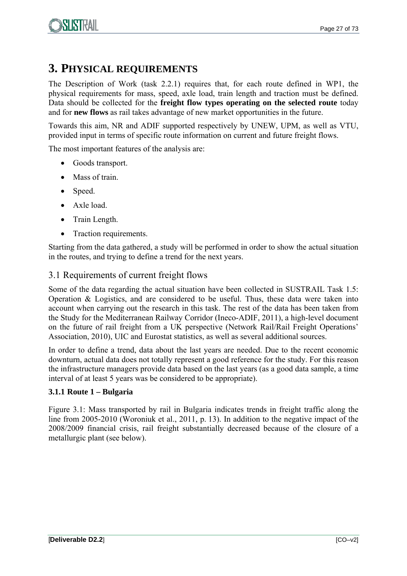

## **3. PHYSICAL REQUIREMENTS**

The Description of Work (task 2.2.1) requires that, for each route defined in WP1, the physical requirements for mass, speed, axle load, train length and traction must be defined. Data should be collected for the **freight flow types operating on the selected route** today and for **new flows** as rail takes advantage of new market opportunities in the future.

Towards this aim, NR and ADIF supported respectively by UNEW, UPM, as well as VTU, provided input in terms of specific route information on current and future freight flows.

The most important features of the analysis are:

- Goods transport.
- Mass of train.
- Speed.
- Axle load.
- Train Length.
- Traction requirements.

Starting from the data gathered, a study will be performed in order to show the actual situation in the routes, and trying to define a trend for the next years.

#### 3.1 Requirements of current freight flows

Some of the data regarding the actual situation have been collected in SUSTRAIL Task 1.5: Operation & Logistics, and are considered to be useful. Thus, these data were taken into account when carrying out the research in this task. The rest of the data has been taken from the Study for the Mediterranean Railway Corridor (Ineco-ADIF, 2011), a high-level document on the future of rail freight from a UK perspective (Network Rail/Rail Freight Operations' Association, 2010), UIC and Eurostat statistics, as well as several additional sources.

In order to define a trend, data about the last years are needed. Due to the recent economic downturn, actual data does not totally represent a good reference for the study. For this reason the infrastructure managers provide data based on the last years (as a good data sample, a time interval of at least 5 years was be considered to be appropriate).

#### **3.1.1 Route 1 – Bulgaria**

Figure 3.1: Mass transported by rail in Bulgaria indicates trends in freight traffic along the line from 2005-2010 (Woroniuk et al., 2011, p. 13). In addition to the negative impact of the 2008/2009 financial crisis, rail freight substantially decreased because of the closure of a metallurgic plant (see below).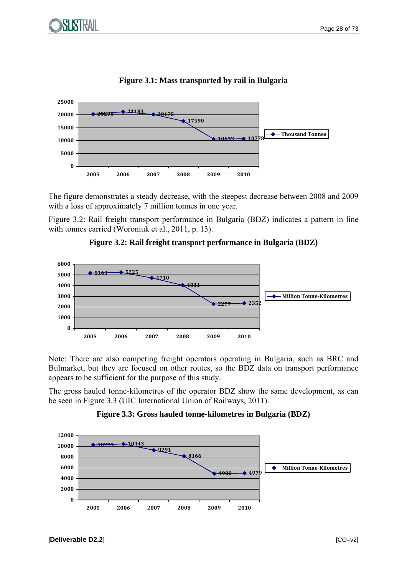

#### **Figure 3.1: Mass transported by rail in Bulgaria**

The figure demonstrates a steady decrease, with the steepest decrease between 2008 and 2009 with a loss of approximately 7 million tonnes in one year.

Figure 3.2: Rail freight transport performance in Bulgaria (BDZ) indicates a pattern in line with tonnes carried (Woroniuk et al., 2011, p. 13).





Note: There are also competing freight operators operating in Bulgaria, such as BRC and Bulmarket, but they are focused on other routes, so the BDZ data on transport performance appears to be sufficient for the purpose of this study.

The gross hauled tonne-kilometres of the operator BDZ show the same development, as can be seen in Figure 3.3 (UIC International Union of Railways, 2011).

#### **Figure 3.3: Gross hauled tonne-kilometres in Bulgaria (BDZ)**

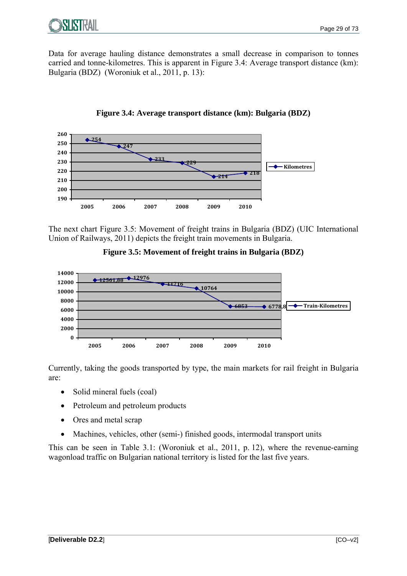Data for average hauling distance demonstrates a small decrease in comparison to tonnes carried and tonne-kilometres. This is apparent in Figure 3.4: Average transport distance (km): Bulgaria (BDZ) (Woroniuk et al., 2011, p. 13):





The next chart Figure 3.5: Movement of freight trains in Bulgaria (BDZ) (UIC International Union of Railways, 2011) depicts the freight train movements in Bulgaria.





Currently, taking the goods transported by type, the main markets for rail freight in Bulgaria are:

- Solid mineral fuels (coal)
- Petroleum and petroleum products
- Ores and metal scrap
- Machines, vehicles, other (semi-) finished goods, intermodal transport units

This can be seen in Table 3.1: (Woroniuk et al., 2011, p. 12), where the revenue-earning wagonload traffic on Bulgarian national territory is listed for the last five years.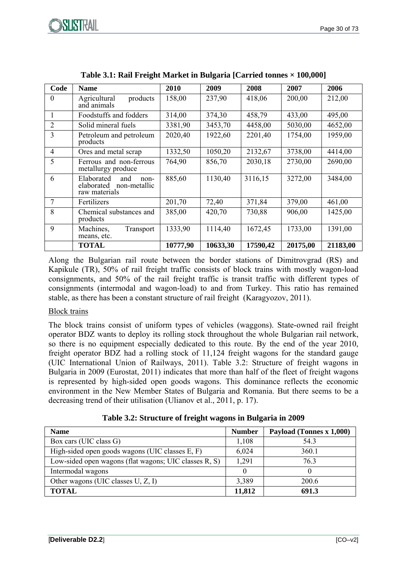

| Code           | <b>Name</b>                                                              | 2010     | 2009     | 2008     | 2007     | 2006     |
|----------------|--------------------------------------------------------------------------|----------|----------|----------|----------|----------|
| $\theta$       | Agricultural<br>products<br>and animals                                  | 158,00   | 237,90   | 418,06   | 200,00   | 212,00   |
|                | Foodstuffs and fodders                                                   | 314,00   | 374,30   | 458,79   | 433,00   | 495,00   |
| $\overline{2}$ | Solid mineral fuels                                                      | 3381,90  | 3453,70  | 4458,00  | 5030,00  | 4652,00  |
| 3              | Petroleum and petroleum<br>products                                      | 2020,40  | 1922,60  | 2201,40  | 1754,00  | 1959,00  |
| $\overline{4}$ | Ores and metal scrap                                                     | 1332,50  | 1050,20  | 2132,67  | 3738,00  | 4414,00  |
| 5              | Ferrous and non-ferrous<br>metallurgy produce                            | 764,90   | 856,70   | 2030,18  | 2730,00  | 2690,00  |
| 6              | Elaborated<br>and<br>non-<br>non-metallic<br>elaborated<br>raw materials | 885,60   | 1130,40  | 3116,15  | 3272,00  | 3484,00  |
| 7              | Fertilizers                                                              | 201,70   | 72,40    | 371,84   | 379,00   | 461,00   |
| 8              | Chemical substances and<br>products                                      | 385,00   | 420,70   | 730,88   | 906,00   | 1425,00  |
| 9              | Machines,<br>Transport<br>means, etc.                                    | 1333,90  | 1114,40  | 1672,45  | 1733,00  | 1391,00  |
|                | <b>TOTAL</b>                                                             | 10777,90 | 10633,30 | 17590,42 | 20175,00 | 21183,00 |

Along the Bulgarian rail route between the border stations of Dimitrovgrad (RS) and Kapikule (TR), 50% of rail freight traffic consists of block trains with mostly wagon-load consignments, and 50% of the rail freight traffic is transit traffic with different types of consignments (intermodal and wagon-load) to and from Turkey. This ratio has remained stable, as there has been a constant structure of rail freight (Karagyozov, 2011).

#### Block trains

The block trains consist of uniform types of vehicles (waggons). State-owned rail freight operator BDZ wants to deploy its rolling stock throughout the whole Bulgarian rail network, so there is no equipment especially dedicated to this route. By the end of the year 2010, freight operator BDZ had a rolling stock of 11,124 freight wagons for the standard gauge (UIC International Union of Railways, 2011). Table 3.2: Structure of freight wagons in Bulgaria in 2009 (Eurostat, 2011) indicates that more than half of the fleet of freight wagons is represented by high-sided open goods wagons. This dominance reflects the economic environment in the New Member States of Bulgaria and Romania. But there seems to be a decreasing trend of their utilisation (Ulianov et al., 2011, p. 17).

| Table 3.2: Structure of freight wagons in Bulgaria in 2009 |  |  |
|------------------------------------------------------------|--|--|
|                                                            |  |  |

| <b>Name</b>                                           | <b>Number</b> | Payload (Tonnes x 1,000) |
|-------------------------------------------------------|---------------|--------------------------|
| Box cars (UIC class G)                                | 1,108         | 543                      |
| High-sided open goods wagons (UIC classes E, F)       | 6,024         | 360.1                    |
| Low-sided open wagons (flat wagons; UIC classes R, S) | 1,291         | 763                      |
| Intermodal wagons                                     |               |                          |
| Other wagons (UIC classes $U, Z, I$ )                 | 3,389         | 200.6                    |
| <b>TOTAL</b>                                          | 11,812        | 691.3                    |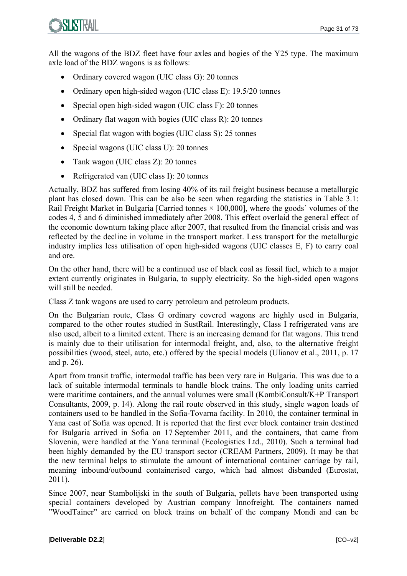All the wagons of the BDZ fleet have four axles and bogies of the Y25 type. The maximum axle load of the BDZ wagons is as follows:

- Ordinary covered wagon (UIC class G): 20 tonnes
- Ordinary open high-sided wagon (UIC class E): 19.5/20 tonnes
- Special open high-sided wagon (UIC class F): 20 tonnes
- Ordinary flat wagon with bogies (UIC class R): 20 tonnes
- Special flat wagon with bogies (UIC class S): 25 tonnes
- Special wagons (UIC class U): 20 tonnes
- Tank wagon (UIC class Z): 20 tonnes
- Refrigerated van (UIC class I): 20 tonnes

Actually, BDZ has suffered from losing 40% of its rail freight business because a metallurgic plant has closed down. This can be also be seen when regarding the statistics in Table 3.1: Rail Freight Market in Bulgaria [Carried tonnes  $\times$  100,000], where the goods' volumes of the codes 4, 5 and 6 diminished immediately after 2008. This effect overlaid the general effect of the economic downturn taking place after 2007, that resulted from the financial crisis and was reflected by the decline in volume in the transport market. Less transport for the metallurgic industry implies less utilisation of open high-sided wagons (UIC classes E, F) to carry coal and ore.

On the other hand, there will be a continued use of black coal as fossil fuel, which to a major extent currently originates in Bulgaria, to supply electricity. So the high-sided open wagons will still be needed.

Class Z tank wagons are used to carry petroleum and petroleum products.

On the Bulgarian route, Class G ordinary covered wagons are highly used in Bulgaria, compared to the other routes studied in SustRail. Interestingly, Class I refrigerated vans are also used, albeit to a limited extent. There is an increasing demand for flat wagons. This trend is mainly due to their utilisation for intermodal freight, and, also, to the alternative freight possibilities (wood, steel, auto, etc.) offered by the special models (Ulianov et al., 2011, p. 17 and p. 26).

Apart from transit traffic, intermodal traffic has been very rare in Bulgaria. This was due to a lack of suitable intermodal terminals to handle block trains. The only loading units carried were maritime containers, and the annual volumes were small (KombiConsult/K+P Transport Consultants, 2009, p. 14). Along the rail route observed in this study, single wagon loads of containers used to be handled in the Sofia-Tovarna facility. In 2010, the container terminal in Yana east of Sofia was opened. It is reported that the first ever block container train destined for Bulgaria arrived in Sofia on 17 September 2011, and the containers, that came from Slovenia, were handled at the Yana terminal (Ecologistics Ltd., 2010). Such a terminal had been highly demanded by the EU transport sector (CREAM Partners, 2009). It may be that the new terminal helps to stimulate the amount of international container carriage by rail, meaning inbound/outbound containerised cargo, which had almost disbanded (Eurostat, 2011).

Since 2007, near Stambolijski in the south of Bulgaria, pellets have been transported using special containers developed by Austrian company Innofreight. The containers named "WoodTainer" are carried on block trains on behalf of the company Mondi and can be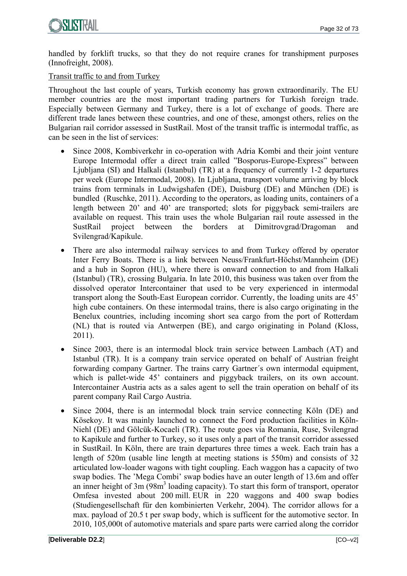handled by forklift trucks, so that they do not require cranes for transhipment purposes (Innofreight, 2008).

Transit traffic to and from Turkey

Throughout the last couple of years, Turkish economy has grown extraordinarily. The EU member countries are the most important trading partners for Turkish foreign trade. Especially between Germany and Turkey, there is a lot of exchange of goods. There are different trade lanes between these countries, and one of these, amongst others, relies on the Bulgarian rail corridor assessed in SustRail. Most of the transit traffic is intermodal traffic, as can be seen in the list of services:

- Since 2008, Kombiverkehr in co-operation with Adria Kombi and their joint venture Europe Intermodal offer a direct train called "Bosporus-Europe-Express" between Ljubljana (SI) and Halkali (Istanbul) (TR) at a frequency of currently 1-2 departures per week (Europe Intermodal, 2008). In Ljubljana, transport volume arriving by block trains from terminals in Ludwigshafen (DE), Duisburg (DE) and München (DE) is bundled (Ruschke, 2011). According to the operators, as loading units, containers of a length between 20' and 40' are transported; slots for piggyback semi-trailers are available on request. This train uses the whole Bulgarian rail route assessed in the SustRail project between the borders at Dimitrovgrad/Dragoman and Svilengrad/Kapikule.
- There are also intermodal railway services to and from Turkey offered by operator Inter Ferry Boats. There is a link between Neuss/Frankfurt-Höchst/Mannheim (DE) and a hub in Sopron (HU), where there is onward connection to and from Halkali (Istanbul) (TR), crossing Bulgaria. In late 2010, this business was taken over from the dissolved operator Intercontainer that used to be very experienced in intermodal transport along the South-East European corridor. Currently, the loading units are 45' high cube containers. On these intermodal trains, there is also cargo originating in the Benelux countries, including incoming short sea cargo from the port of Rotterdam (NL) that is routed via Antwerpen (BE), and cargo originating in Poland (Kloss, 2011).
- Since 2003, there is an intermodal block train service between Lambach (AT) and Istanbul (TR). It is a company train service operated on behalf of Austrian freight forwarding company Gartner. The trains carry Gartner´s own intermodal equipment, which is pallet-wide 45<sup>'</sup> containers and piggyback trailers, on its own account. Intercontainer Austria acts as a sales agent to sell the train operation on behalf of its parent company Rail Cargo Austria.
- Since 2004, there is an intermodal block train service connecting Köln (DE) and Kösekoy. It was mainly launched to connect the Ford production facilities in Köln-Niehl (DE) and Gölcük-Kocaeli (TR). The route goes via Romania, Ruse, Svilengrad to Kapikule and further to Turkey, so it uses only a part of the transit corridor assessed in SustRail. In Köln, there are train departures three times a week. Each train has a length of 520m (usable line length at meeting stations is 550m) and consists of 32 articulated low-loader wagons with tight coupling. Each waggon has a capacity of two swap bodies. The 'Mega Combi' swap bodies have an outer length of 13.6m and offer an inner height of 3m (98m<sup>3</sup> loading capacity). To start this form of transport, operator Omfesa invested about 200 mill. EUR in 220 waggons and 400 swap bodies (Studiengesellschaft für den kombinierten Verkehr, 2004). The corridor allows for a max. payload of 20.5 t per swap body, which is sufficent for the automotive sector. In 2010, 105,000t of automotive materials and spare parts were carried along the corridor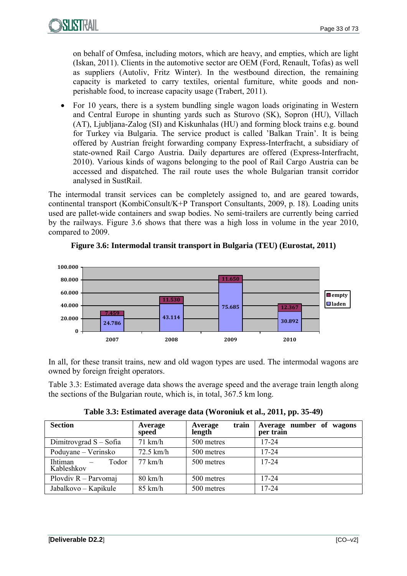

on behalf of Omfesa, including motors, which are heavy, and empties, which are light (Iskan, 2011). Clients in the automotive sector are OEM (Ford, Renault, Tofas) as well as suppliers (Autoliv, Fritz Winter). In the westbound direction, the remaining capacity is marketed to carry textiles, oriental furniture, white goods and nonperishable food, to increase capacity usage (Trabert, 2011).

 For 10 years, there is a system bundling single wagon loads originating in Western and Central Europe in shunting yards such as Sturovo (SK), Sopron (HU), Villach (AT), Ljubljana-Zalog (SI) and Kiskunhalas (HU) and forming block trains e.g. bound for Turkey via Bulgaria. The service product is called 'Balkan Train'. It is being offered by Austrian freight forwarding company Express-Interfracht, a subsidiary of state-owned Rail Cargo Austria. Daily departures are offered (Express-Interfracht, 2010). Various kinds of wagons belonging to the pool of Rail Cargo Austria can be accessed and dispatched. The rail route uses the whole Bulgarian transit corridor analysed in SustRail.

The intermodal transit services can be completely assigned to, and are geared towards, continental transport (KombiConsult/K+P Transport Consultants, 2009, p. 18). Loading units used are pallet-wide containers and swap bodies. No semi-trailers are currently being carried by the railways. Figure 3.6 shows that there was a high loss in volume in the year 2010, compared to 2009.



#### **Figure 3.6: Intermodal transit transport in Bulgaria (TEU) (Eurostat, 2011)**

In all, for these transit trains, new and old wagon types are used. The intermodal wagons are owned by foreign freight operators.

Table 3.3: Estimated average data shows the average speed and the average train length along the sections of the Bulgarian route, which is, in total, 367.5 km long.

| <b>Section</b>                                             | Average<br>speed  | train<br>Average<br>length | Average number of wagons<br>per train |
|------------------------------------------------------------|-------------------|----------------------------|---------------------------------------|
| Dimitrovgrad $S - S$ ofia                                  | $71$ km/h         | 500 metres                 | $17 - 24$                             |
| Poduyane – Verinsko                                        | $72.5$ km/h       | 500 metres                 | $17 - 24$                             |
| Ihtiman<br>Todor<br>$\overline{\phantom{a}}$<br>Kableshkov | $77$ km/h         | 500 metres                 | $17 - 24$                             |
| Plovdiv $R$ – Parvomaj                                     | $80 \text{ km/h}$ | 500 metres                 | $17 - 24$                             |
| Jabalkovo – Kapikule                                       | $85 \text{ km/h}$ | 500 metres                 | $17 - 24$                             |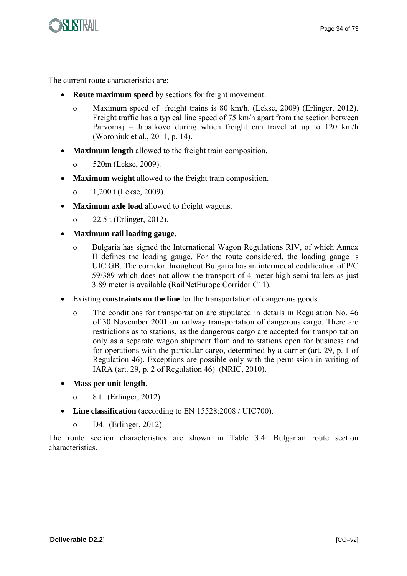

The current route characteristics are:

- **Route maximum speed** by sections for freight movement.
	- o Maximum speed of freight trains is 80 km/h. (Lekse, 2009) (Erlinger, 2012). Freight traffic has a typical line speed of 75 km/h apart from the section between Parvomaj – Jabalkovo during which freight can travel at up to 120 km/h (Woroniuk et al., 2011, p. 14).
- **Maximum length** allowed to the freight train composition.
	- o 520m (Lekse, 2009).
- **Maximum weight** allowed to the freight train composition.
	- o 1,200 t (Lekse, 2009).
- **Maximum axle load** allowed to freight wagons.
	- o 22.5 t (Erlinger, 2012).
- **Maximum rail loading gauge**.
	- o Bulgaria has signed the International Wagon Regulations RIV, of which Annex II defines the loading gauge. For the route considered, the loading gauge is UIC GB. The corridor throughout Bulgaria has an intermodal codification of P/C 59/389 which does not allow the transport of 4 meter high semi-trailers as just 3.89 meter is available (RailNetEurope Corridor C11).
- Existing **constraints on the line** for the transportation of dangerous goods.
	- o The conditions for transportation are stipulated in details in Regulation No. 46 of 30 November 2001 on railway transportation of dangerous cargo. There are restrictions as to stations, as the dangerous cargo are accepted for transportation only as a separate wagon shipment from and to stations open for business and for operations with the particular cargo, determined by a carrier (art. 29, p. 1 of Regulation 46). Exceptions are possible only with the permission in writing of IARA (art. 29, p. 2 of Regulation 46) (NRIC, 2010).
- **Mass per unit length**.
	- o 8 t. (Erlinger, 2012)
- **Line classification** (according to EN 15528:2008 / UIC700).
	- o D4. (Erlinger, 2012)

The route section characteristics are shown in Table 3.4: Bulgarian route section characteristics.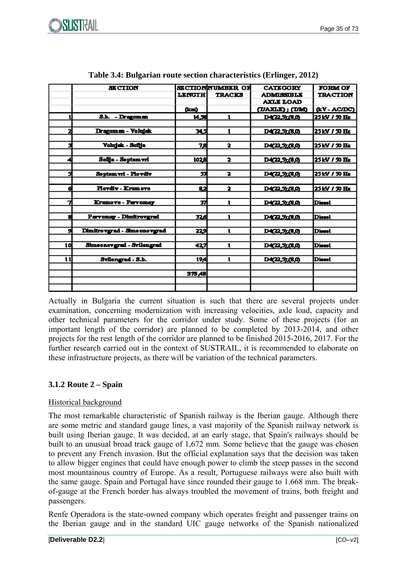

|    | <b>SECTION</b>               |               | <b>SECTIONNUMBER OF</b> | <b>CATEGORY</b>       | <b>FORM OF</b>  |
|----|------------------------------|---------------|-------------------------|-----------------------|-----------------|
|    |                              | <b>LENGTH</b> | <b>TRACKS</b>           | <b>ADMISSIBLE</b>     | <b>TRACTION</b> |
|    |                              |               |                         | <b>AXLE LOAD</b>      |                 |
|    |                              | (km)          |                         | (I/AXLE); (I/M)       | (EV-AC/DC)      |
|    | S.b. - Dragoman              | 14,58         | 1                       | <u>D4(22,5);(8,0)</u> | 25 kV / 30 Hz   |
|    |                              |               |                         |                       |                 |
| 2  | Dragoman - Volujak           | اد×:          | 1                       | <u>D4(22,5),(8,0)</u> | 25 kV / 30 Hz   |
|    |                              |               |                         |                       |                 |
| 3  | Volujak - Sofija             | 78            | $\overline{\mathbf{z}}$ | <u>D4(22,5),(8,0)</u> | 25 kV / 30 Hz   |
|    |                              |               |                         |                       |                 |
| 4  | Sofija - Septem vri          | 102의          | $\overline{\mathbf{z}}$ | <u>D4(22,5),(8,0)</u> | 25 KV / 30 Hz   |
|    |                              |               |                         |                       |                 |
| s  | Septem vri - Plovdiv         | 53            | 2                       | <u>D4(22,5),(8,0)</u> | 25 kV / 30 Hz   |
|    |                              |               |                         |                       |                 |
| ó  | Ploydly - Krumovo            | 82            | 2                       | D4(22,5),(8,0)        | 25 kV / 30 Hz   |
|    |                              |               |                         |                       |                 |
| 7  | Krumovo - Parvomay           | 37            | 1                       | D4(22,5),(8,0)        | Diesel          |
|    |                              |               |                         |                       |                 |
| 8. | Parvomay - Dimitrovgrad      | 32.G          | 1                       | D4(22,5) (8,0)        | <b>Diesel</b>   |
|    |                              |               |                         |                       |                 |
| 5  | Dimitrovgrad - Sime onovgrad | 229           | 1                       | <u>D4(22,5),(8,0)</u> | <b>Diesel</b>   |
|    |                              |               |                         |                       |                 |
| 10 | Shneonovgrad - Svilengrad    | 427           | 1                       | D4(22,5);(8,0)        | <b>Diesel</b>   |
|    |                              |               |                         |                       |                 |
| 11 | Svilengrad - S.b.            | 19,4          | 1                       | D4(22,5),(8,0)        | <b>Diesel</b>   |
|    |                              |               |                         |                       |                 |
|    |                              | 375,48        |                         |                       |                 |
|    |                              |               |                         |                       |                 |
|    |                              |               |                         |                       |                 |

|  | Table 3.4: Bulgarian route section characteristics (Erlinger, 2012) |  |
|--|---------------------------------------------------------------------|--|
|  |                                                                     |  |
|  |                                                                     |  |

Actually in Bulgaria the current situation is such that there are several projects under examination, concerning modernization with increasing velocities, axle load, capacity and other technical parameters for the corridor under study. Some of these projects (for an important length of the corridor) are planned to be completed by 2013-2014, and other projects for the rest length of the corridor are planned to be finished 2015-2016, 2017. For the further research carried out in the context of SUSTRAIL, it is recommended to elaborate on these infrastructure projects, as there will be variation of the technical parameters.

### **3.1.2 Route 2 – Spain**

#### Historical background

The most remarkable characteristic of Spanish railway is the Iberian gauge. Although there are some metric and standard gauge lines, a vast majority of the Spanish railway network is built using Iberian gauge. It was decided, at an early stage, that Spain's railways should be built to an unusual broad track gauge of 1,672 mm. Some believe that the gauge was chosen to prevent any French invasion. But the official explanation says that the decision was taken to allow bigger engines that could have enough power to climb the steep passes in the second most mountainous country of Europe. As a result, Portuguese railways were also built with the same gauge. Spain and Portugal have since rounded their gauge to 1.668 mm. The breakof-gauge at the French border has always troubled the movement of trains, both freight and passengers.

Renfe Operadora is the state-owned company which operates freight and passenger trains on the Iberian gauge and in the standard UIC gauge networks of the Spanish nationalized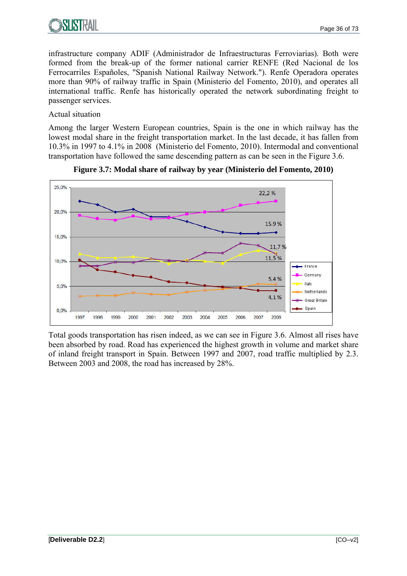

infrastructure company ADIF (Administrador de Infraestructuras Ferroviarias). Both were formed from the break-up of the former national carrier RENFE (Red Nacional de los Ferrocarriles Españoles, "Spanish National Railway Network."). Renfe Operadora operates more than 90% of railway traffic in Spain (Ministerio del Fomento, 2010), and operates all international traffic. Renfe has historically operated the network subordinating freight to passenger services.

#### Actual situation

Among the larger Western European countries, Spain is the one in which railway has the lowest modal share in the freight transportation market. In the last decade, it has fallen from 10.3% in 1997 to 4.1% in 2008 (Ministerio del Fomento, 2010). Intermodal and conventional transportation have followed the same descending pattern as can be seen in the Figure 3.6.





Total goods transportation has risen indeed, as we can see in Figure 3.6. Almost all rises have been absorbed by road. Road has experienced the highest growth in volume and market share of inland freight transport in Spain. Between 1997 and 2007, road traffic multiplied by 2.3. Between 2003 and 2008, the road has increased by 28%.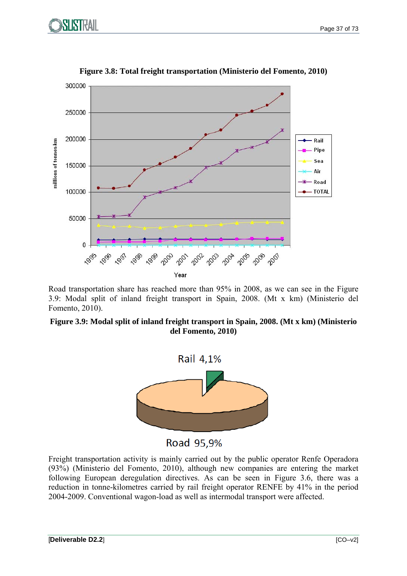



**Figure 3.8: Total freight transportation (Ministerio del Fomento, 2010)** 

Road transportation share has reached more than 95% in 2008, as we can see in the Figure 3.9: Modal split of inland freight transport in Spain, 2008. (Mt x km) (Ministerio del Fomento, 2010).

#### **Figure 3.9: Modal split of inland freight transport in Spain, 2008. (Mt x km) (Ministerio del Fomento, 2010)**



Road 95,9%

Freight transportation activity is mainly carried out by the public operator Renfe Operadora (93%) (Ministerio del Fomento, 2010), although new companies are entering the market following European deregulation directives. As can be seen in Figure 3.6, there was a reduction in tonne-kilometres carried by rail freight operator RENFE by 41% in the period 2004-2009. Conventional wagon-load as well as intermodal transport were affected.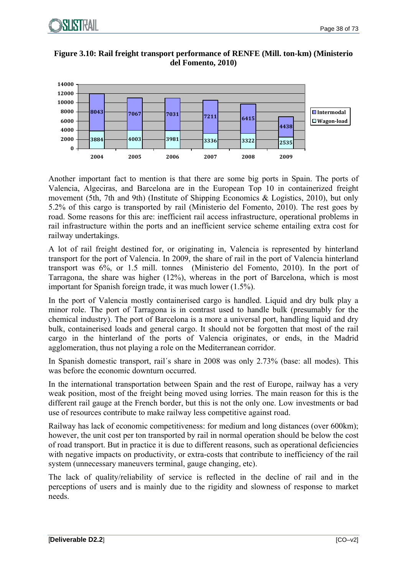

#### **Figure 3.10: Rail freight transport performance of RENFE (Mill. ton-km) (Ministerio del Fomento, 2010)**



Another important fact to mention is that there are some big ports in Spain. The ports of Valencia, Algeciras, and Barcelona are in the European Top 10 in containerized freight movement (5th, 7th and 9th) (Institute of Shipping Economics & Logistics, 2010), but only 5.2% of this cargo is transported by rail (Ministerio del Fomento, 2010). The rest goes by road. Some reasons for this are: inefficient rail access infrastructure, operational problems in rail infrastructure within the ports and an inefficient service scheme entailing extra cost for railway undertakings.

A lot of rail freight destined for, or originating in, Valencia is represented by hinterland transport for the port of Valencia. In 2009, the share of rail in the port of Valencia hinterland transport was 6%, or 1.5 mill. tonnes (Ministerio del Fomento, 2010). In the port of Tarragona, the share was higher (12%), whereas in the port of Barcelona, which is most important for Spanish foreign trade, it was much lower (1.5%).

In the port of Valencia mostly containerised cargo is handled. Liquid and dry bulk play a minor role. The port of Tarragona is in contrast used to handle bulk (presumably for the chemical industry). The port of Barcelona is a more a universal port, handling liquid and dry bulk, containerised loads and general cargo. It should not be forgotten that most of the rail cargo in the hinterland of the ports of Valencia originates, or ends, in the Madrid agglomeration, thus not playing a role on the Mediterranean corridor.

In Spanish domestic transport, rail´s share in 2008 was only 2.73% (base: all modes). This was before the economic downturn occurred.

In the international transportation between Spain and the rest of Europe, railway has a very weak position, most of the freight being moved using lorries. The main reason for this is the different rail gauge at the French border, but this is not the only one. Low investments or bad use of resources contribute to make railway less competitive against road.

Railway has lack of economic competitiveness: for medium and long distances (over 600km); however, the unit cost per ton transported by rail in normal operation should be below the cost of road transport. But in practice it is due to different reasons, such as operational deficiencies with negative impacts on productivity, or extra-costs that contribute to inefficiency of the rail system (unnecessary maneuvers terminal, gauge changing, etc).

The lack of quality/reliability of service is reflected in the decline of rail and in the perceptions of users and is mainly due to the rigidity and slowness of response to market needs.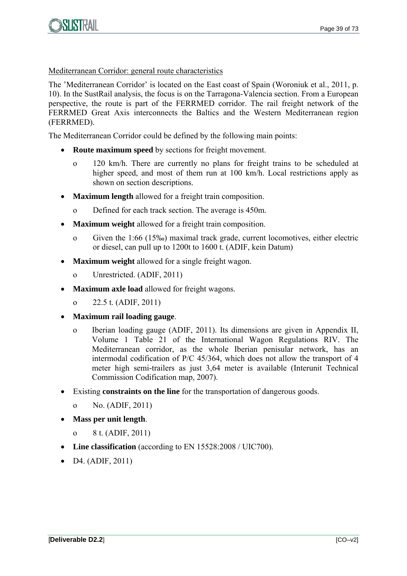

#### Mediterranean Corridor: general route characteristics

The 'Mediterranean Corridor' is located on the East coast of Spain (Woroniuk et al., 2011, p. 10). In the SustRail analysis, the focus is on the Tarragona-Valencia section. From a European perspective, the route is part of the FERRMED corridor. The rail freight network of the FERRMED Great Axis interconnects the Baltics and the Western Mediterranean region (FERRMED).

The Mediterranean Corridor could be defined by the following main points:

- **Route maximum speed** by sections for freight movement.
	- o 120 km/h. There are currently no plans for freight trains to be scheduled at higher speed, and most of them run at 100 km/h. Local restrictions apply as shown on section descriptions.
- **Maximum length** allowed for a freight train composition.
	- o Defined for each track section. The average is 450m.
- **Maximum weight** allowed for a freight train composition.
	- o Given the 1:66 (15‰) maximal track grade, current locomotives, either electric or diesel, can pull up to 1200t to 1600 t. (ADIF, kein Datum)
- **Maximum weight** allowed for a single freight wagon.
	- o Unrestricted. (ADIF, 2011)
- **Maximum axle load** allowed for freight wagons.
	- o 22.5 t. (ADIF, 2011)
- **Maximum rail loading gauge**.
	- o Iberian loading gauge (ADIF, 2011). Its dimensions are given in Appendix II, Volume 1 Table 21 of the International Wagon Regulations RIV. The Mediterranean corridor, as the whole Iberian penisular network, has an intermodal codification of P/C 45/364, which does not allow the transport of 4 meter high semi-trailers as just 3,64 meter is available (Interunit Technical Commission Codification map, 2007).
- Existing **constraints on the line** for the transportation of dangerous goods.
	- o No. (ADIF, 2011)
- **Mass per unit length**.
	- o 8 t. (ADIF, 2011)
- **Line classification** (according to EN 15528:2008 / UIC700).
- $\bullet$  D4. (ADIF, 2011)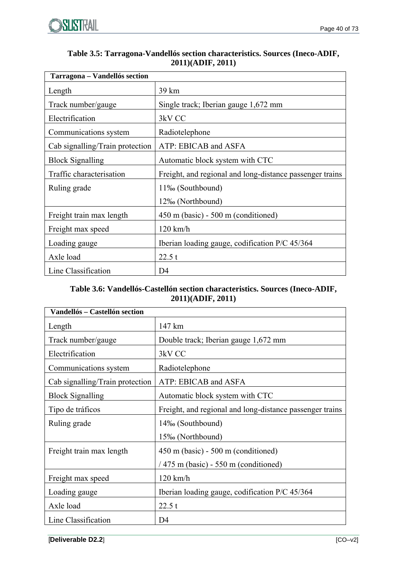

| Table 3.5: Tarragona-Vandellós section characteristics. Sources (Ineco-ADIF, |
|------------------------------------------------------------------------------|
| 2011)(ADIF, 2011)                                                            |

| Tarragona - Vandellós section   |                                                          |  |  |
|---------------------------------|----------------------------------------------------------|--|--|
| Length                          | 39 km                                                    |  |  |
| Track number/gauge              | Single track; Iberian gauge 1,672 mm                     |  |  |
| Electrification                 | 3kV CC                                                   |  |  |
| Communications system           | Radiotelephone                                           |  |  |
| Cab signalling/Train protection | ATP: EBICAB and ASFA                                     |  |  |
| <b>Block Signalling</b>         | Automatic block system with CTC                          |  |  |
| Traffic characterisation        | Freight, and regional and long-distance passenger trains |  |  |
| Ruling grade                    | 11‰ (Southbound)                                         |  |  |
|                                 | 12‰ (Northbound)                                         |  |  |
| Freight train max length        | $450$ m (basic) - 500 m (conditioned)                    |  |  |
| Freight max speed               | $120 \text{ km/h}$                                       |  |  |
| Loading gauge                   | Iberian loading gauge, codification P/C 45/364           |  |  |
| Axle load                       | 22.5 t                                                   |  |  |
| Line Classification             | D4                                                       |  |  |

#### **Table 3.6: Vandellós-Castellón section characteristics. Sources (Ineco-ADIF, 2011)(ADIF, 2011)**

| Vandellós - Castellón section   |                                                          |
|---------------------------------|----------------------------------------------------------|
| Length                          | 147 km                                                   |
| Track number/gauge              | Double track; Iberian gauge 1,672 mm                     |
| Electrification                 | 3kV CC                                                   |
| Communications system           | Radiotelephone                                           |
| Cab signalling/Train protection | ATP: EBICAB and ASFA                                     |
| <b>Block Signalling</b>         | Automatic block system with CTC                          |
| Tipo de tráficos                | Freight, and regional and long-distance passenger trains |
| Ruling grade                    | 14‰ (Southbound)                                         |
|                                 | 15‰ (Northbound)                                         |
| Freight train max length        | $450$ m (basic) - 500 m (conditioned)                    |
|                                 | $/475$ m (basic) - 550 m (conditioned)                   |
| Freight max speed               | $120$ km/h                                               |
| Loading gauge                   | Iberian loading gauge, codification P/C 45/364           |
| Axle load                       | 22.5 t                                                   |
| Line Classification             | D4                                                       |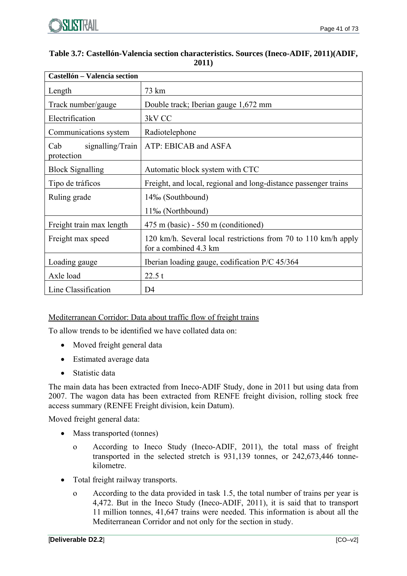

| Table 3.7: Castellón-Valencia section characteristics. Sources (Ineco-ADIF, 2011)(ADIF, |
|-----------------------------------------------------------------------------------------|
| 2011)                                                                                   |

| Castellón - Valencia section          |                                                                                         |
|---------------------------------------|-----------------------------------------------------------------------------------------|
| Length                                | 73 km                                                                                   |
| Track number/gauge                    | Double track; Iberian gauge 1,672 mm                                                    |
| Electrification                       | 3kV CC                                                                                  |
| Communications system                 | Radiotelephone                                                                          |
| signalling/Train<br>Cab<br>protection | ATP: EBICAB and ASFA                                                                    |
| <b>Block Signalling</b>               | Automatic block system with CTC                                                         |
| Tipo de tráficos                      | Freight, and local, regional and long-distance passenger trains                         |
| Ruling grade                          | 14‰ (Southbound)                                                                        |
|                                       | 11‰ (Northbound)                                                                        |
| Freight train max length              | 475 m (basic) - 550 m (conditioned)                                                     |
| Freight max speed                     | 120 km/h. Several local restrictions from 70 to 110 km/h apply<br>for a combined 4.3 km |
| Loading gauge                         | Iberian loading gauge, codification P/C 45/364                                          |
| Axle load                             | 22.5 t                                                                                  |
| Line Classification                   | D4                                                                                      |

#### Mediterranean Corridor: Data about traffic flow of freight trains

To allow trends to be identified we have collated data on:

- Moved freight general data
- Estimated average data
- Statistic data

The main data has been extracted from Ineco-ADIF Study, done in 2011 but using data from 2007. The wagon data has been extracted from RENFE freight division, rolling stock free access summary (RENFE Freight division, kein Datum).

Moved freight general data:

- Mass transported (tonnes)
	- o According to Ineco Study (Ineco-ADIF, 2011), the total mass of freight transported in the selected stretch is 931,139 tonnes, or 242,673,446 tonnekilometre.
- Total freight railway transports.
	- o According to the data provided in task 1.5, the total number of trains per year is 4,472. But in the Ineco Study (Ineco-ADIF, 2011), it is said that to transport 11 million tonnes, 41,647 trains were needed. This information is about all the Mediterranean Corridor and not only for the section in study.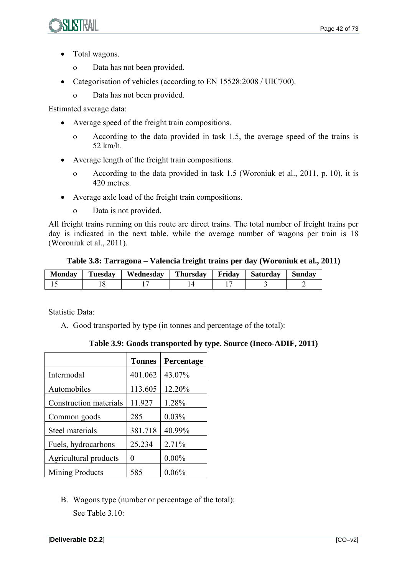

- Total wagons.
	- o Data has not been provided.
- Categorisation of vehicles (according to EN 15528:2008 / UIC700).
	- o Data has not been provided.

Estimated average data:

- Average speed of the freight train compositions.
	- o According to the data provided in task 1.5, the average speed of the trains is 52 km/h.
- Average length of the freight train compositions.
	- o According to the data provided in task 1.5 (Woroniuk et al., 2011, p. 10), it is 420 metres.
- Average axle load of the freight train compositions.
	- o Data is not provided.

All freight trains running on this route are direct trains. The total number of freight trains per day is indicated in the next table. while the average number of wagons per train is 18 (Woroniuk et al., 2011).

**Table 3.8: Tarragona – Valencia freight trains per day (Woroniuk et al., 2011)** 

| <b>Monday</b> | <b>Tuesday</b> | Wednesday | Thursday | Fridav | Saturday | <b>Sunday</b> |
|---------------|----------------|-----------|----------|--------|----------|---------------|
|               |                |           |          |        |          |               |

Statistic Data:

A. Good transported by type (in tonnes and percentage of the total):

|  | Table 3.9: Goods transported by type. Source (Ineco-ADIF, 2011) |  |  |
|--|-----------------------------------------------------------------|--|--|
|--|-----------------------------------------------------------------|--|--|

|                        | <b>Tonnes</b> | Percentage |
|------------------------|---------------|------------|
| Intermodal             | 401.062       | 43.07%     |
| Automobiles            | 113.605       | 12.20%     |
| Construction materials | 11.927        | 1.28%      |
| Common goods           | 285           | 0.03%      |
| Steel materials        | 381.718       | 40.99%     |
| Fuels, hydrocarbons    | 25.234        | 2.71%      |
| Agricultural products  | 0             | $0.00\%$   |
| <b>Mining Products</b> | 585           | 0.06%      |

B. Wagons type (number or percentage of the total): See Table 3.10: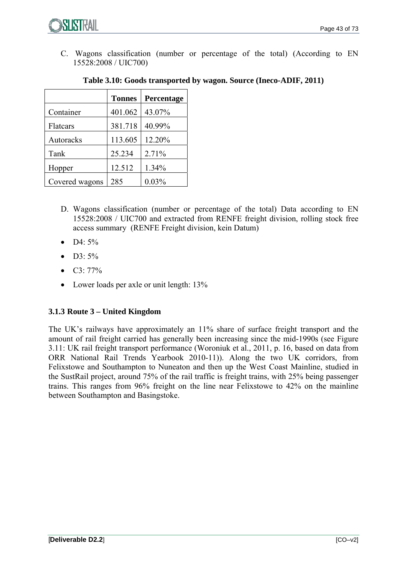

C. Wagons classification (number or percentage of the total) (According to EN 15528:2008 / UIC700)

|                | <b>Tonnes</b> | Percentage |
|----------------|---------------|------------|
| Container      | 401.062       | 43.07%     |
| Flatcars       | 381.718       | 40.99%     |
| Autoracks      | 113.605       | 12.20%     |
| Tank           | 25.234        | 2.71%      |
| Hopper         | 12.512        | 1.34%      |
| Covered wagons | 285           | 0.03%      |

#### **Table 3.10: Goods transported by wagon. Source (Ineco-ADIF, 2011)**

- D. Wagons classification (number or percentage of the total) Data according to EN 15528:2008 / UIC700 and extracted from RENFE freight division, rolling stock free access summary (RENFE Freight division, kein Datum)
- $\bullet$  D4: 5%
- $\bullet$  D3: 5%
- C3: 77%
- Lower loads per axle or unit length: 13%

#### **3.1.3 Route 3 – United Kingdom**

The UK's railways have approximately an 11% share of surface freight transport and the amount of rail freight carried has generally been increasing since the mid-1990s (see Figure 3.11: UK rail freight transport performance (Woroniuk et al., 2011, p. 16, based on data from ORR National Rail Trends Yearbook 2010-11)). Along the two UK corridors, from Felixstowe and Southampton to Nuneaton and then up the West Coast Mainline, studied in the SustRail project, around 75% of the rail traffic is freight trains, with 25% being passenger trains. This ranges from 96% freight on the line near Felixstowe to 42% on the mainline between Southampton and Basingstoke.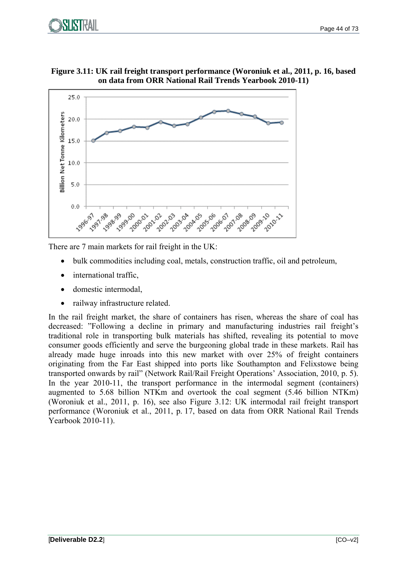





There are 7 main markets for rail freight in the UK:

- bulk commodities including coal, metals, construction traffic, oil and petroleum,
- international traffic
- domestic intermodal,
- railway infrastructure related.

In the rail freight market, the share of containers has risen, whereas the share of coal has decreased: "Following a decline in primary and manufacturing industries rail freight's traditional role in transporting bulk materials has shifted, revealing its potential to move consumer goods efficiently and serve the burgeoning global trade in these markets. Rail has already made huge inroads into this new market with over 25% of freight containers originating from the Far East shipped into ports like Southampton and Felixstowe being transported onwards by rail" (Network Rail/Rail Freight Operations' Association, 2010, p. 5). In the year 2010-11, the transport performance in the intermodal segment (containers) augmented to 5.68 billion NTKm and overtook the coal segment (5.46 billion NTKm) (Woroniuk et al., 2011, p. 16), see also Figure 3.12: UK intermodal rail freight transport performance (Woroniuk et al., 2011, p. 17, based on data from ORR National Rail Trends Yearbook 2010-11).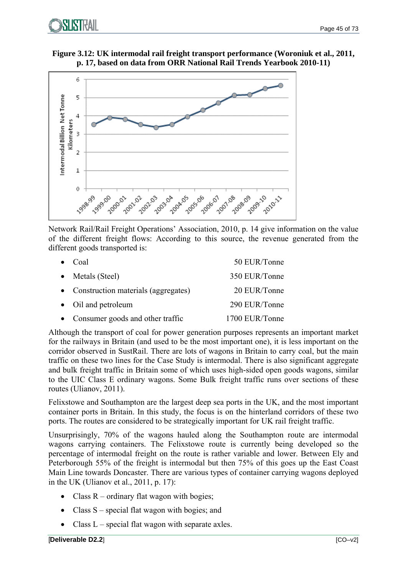

**Figure 3.12: UK intermodal rail freight transport performance (Woroniuk et al., 2011, p. 17, based on data from ORR National Rail Trends Yearbook 2010-11)** 



Network Rail/Rail Freight Operations' Association, 2010, p. 14 give information on the value of the different freight flows: According to this source, the revenue generated from the different goods transported is:

| Coal                                  | 50 EUR/Tonne   |
|---------------------------------------|----------------|
| $\bullet$ Metals (Steel)              | 350 EUR/Tonne  |
| • Construction materials (aggregates) | 20 EUR/Tonne   |
| • Oil and petroleum                   | 290 EUR/Tonne  |
| • Consumer goods and other traffic    | 1700 EUR/Tonne |

Although the transport of coal for power generation purposes represents an important market for the railways in Britain (and used to be the most important one), it is less important on the corridor observed in SustRail. There are lots of wagons in Britain to carry coal, but the main traffic on these two lines for the Case Study is intermodal. There is also significant aggregate and bulk freight traffic in Britain some of which uses high-sided open goods wagons, similar to the UIC Class E ordinary wagons. Some Bulk freight traffic runs over sections of these routes (Ulianov, 2011).

Felixstowe and Southampton are the largest deep sea ports in the UK, and the most important container ports in Britain. In this study, the focus is on the hinterland corridors of these two ports. The routes are considered to be strategically important for UK rail freight traffic.

Unsurprisingly, 70% of the wagons hauled along the Southampton route are intermodal wagons carrying containers. The Felixstowe route is currently being developed so the percentage of intermodal freight on the route is rather variable and lower. Between Ely and Peterborough 55% of the freight is intermodal but then 75% of this goes up the East Coast Main Line towards Doncaster. There are various types of container carrying wagons deployed in the UK (Ulianov et al., 2011, p. 17):

- Class  $R$  ordinary flat wagon with bogies;
- Class S special flat wagon with bogies; and
- Class  $L$  special flat wagon with separate axles.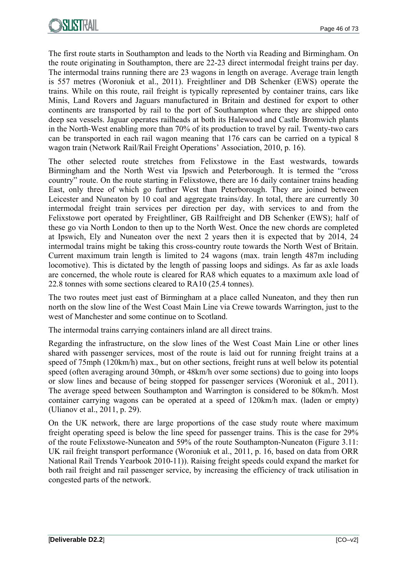The first route starts in Southampton and leads to the North via Reading and Birmingham. On the route originating in Southampton, there are 22-23 direct intermodal freight trains per day. The intermodal trains running there are 23 wagons in length on average. Average train length is 557 metres (Woroniuk et al., 2011). Freightliner and DB Schenker (EWS) operate the trains. While on this route, rail freight is typically represented by container trains, cars like Minis, Land Rovers and Jaguars manufactured in Britain and destined for export to other continents are transported by rail to the port of Southampton where they are shipped onto deep sea vessels. Jaguar operates railheads at both its Halewood and Castle Bromwich plants in the North-West enabling more than 70% of its production to travel by rail. Twenty-two cars can be transported in each rail wagon meaning that 176 cars can be carried on a typical 8 wagon train (Network Rail/Rail Freight Operations' Association, 2010, p. 16).

The other selected route stretches from Felixstowe in the East westwards, towards Birmingham and the North West via Ipswich and Peterborough. It is termed the "cross country" route. On the route starting in Felixstowe, there are 16 daily container trains heading East, only three of which go further West than Peterborough. They are joined between Leicester and Nuneaton by 10 coal and aggregate trains/day. In total, there are currently 30 intermodal freight train services per direction per day, with services to and from the Felixstowe port operated by Freightliner, GB Railfreight and DB Schenker (EWS); half of these go via North London to then up to the North West. Once the new chords are completed at Ipswich, Ely and Nuneaton over the next 2 years then it is expected that by 2014, 24 intermodal trains might be taking this cross-country route towards the North West of Britain. Current maximum train length is limited to 24 wagons (max. train length 487m including locomotive). This is dictated by the length of passing loops and sidings. As far as axle loads are concerned, the whole route is cleared for RA8 which equates to a maximum axle load of 22.8 tonnes with some sections cleared to RA10 (25.4 tonnes).

The two routes meet just east of Birmingham at a place called Nuneaton, and they then run north on the slow line of the West Coast Main Line via Crewe towards Warrington, just to the west of Manchester and some continue on to Scotland.

The intermodal trains carrying containers inland are all direct trains.

Regarding the infrastructure, on the slow lines of the West Coast Main Line or other lines shared with passenger services, most of the route is laid out for running freight trains at a speed of 75mph (120km/h) max., but on other sections, freight runs at well below its potential speed (often averaging around 30mph, or 48km/h over some sections) due to going into loops or slow lines and because of being stopped for passenger services (Woroniuk et al., 2011). The average speed between Southampton and Warrington is considered to be 80km/h. Most container carrying wagons can be operated at a speed of 120km/h max. (laden or empty) (Ulianov et al., 2011, p. 29).

On the UK network, there are large proportions of the case study route where maximum freight operating speed is below the line speed for passenger trains. This is the case for 29% of the route Felixstowe-Nuneaton and 59% of the route Southampton-Nuneaton (Figure 3.11: UK rail freight transport performance (Woroniuk et al., 2011, p. 16, based on data from ORR National Rail Trends Yearbook 2010-11)). Raising freight speeds could expand the market for both rail freight and rail passenger service, by increasing the efficiency of track utilisation in congested parts of the network.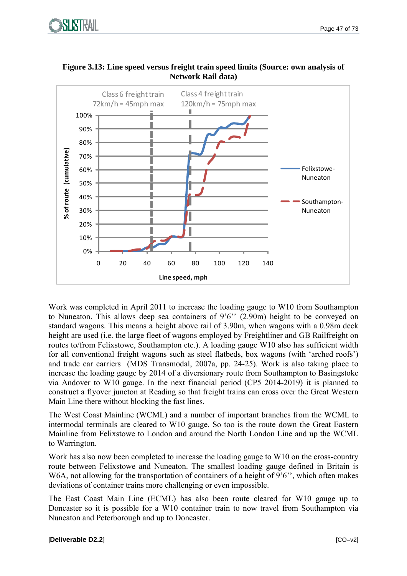



**Figure 3.13: Line speed versus freight train speed limits (Source: own analysis of Network Rail data)** 

Work was completed in April 2011 to increase the loading gauge to W10 from Southampton to Nuneaton. This allows deep sea containers of 9'6'' (2.90m) height to be conveyed on standard wagons. This means a height above rail of 3.90m, when wagons with a 0.98m deck height are used (i.e. the large fleet of wagons employed by Freightliner and GB Railfreight on routes to/from Felixstowe, Southampton etc.). A loading gauge W10 also has sufficient width for all conventional freight wagons such as steel flatbeds, box wagons (with 'arched roofs') and trade car carriers (MDS Transmodal, 2007a, pp. 24-25). Work is also taking place to increase the loading gauge by 2014 of a diversionary route from Southampton to Basingstoke via Andover to W10 gauge. In the next financial period (CP5 2014-2019) it is planned to construct a flyover juncton at Reading so that freight trains can cross over the Great Western Main Line there without blocking the fast lines.

The West Coast Mainline (WCML) and a number of important branches from the WCML to intermodal terminals are cleared to W10 gauge. So too is the route down the Great Eastern Mainline from Felixstowe to London and around the North London Line and up the WCML to Warrington.

Work has also now been completed to increase the loading gauge to W10 on the cross-country route between Felixstowe and Nuneaton. The smallest loading gauge defined in Britain is W6A, not allowing for the transportation of containers of a height of 9'6", which often makes deviations of container trains more challenging or even impossible.

The East Coast Main Line (ECML) has also been route cleared for W10 gauge up to Doncaster so it is possible for a W10 container train to now travel from Southampton via Nuneaton and Peterborough and up to Doncaster.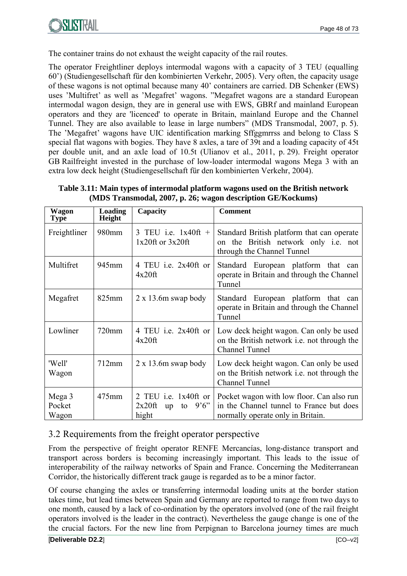

The container trains do not exhaust the weight capacity of the rail routes.

The operator Freightliner deploys intermodal wagons with a capacity of 3 TEU (equalling 60') (Studiengesellschaft für den kombinierten Verkehr, 2005). Very often, the capacity usage of these wagons is not optimal because many 40' containers are carried. DB Schenker (EWS) uses 'Multifret' as well as 'Megafret' wagons. "Megafret wagons are a standard European intermodal wagon design, they are in general use with EWS, GBRf and mainland European operators and they are 'licenced' to operate in Britain, mainland Europe and the Channel Tunnel. They are also available to lease in large numbers" (MDS Transmodal, 2007, p. 5). The 'Megafret' wagons have UIC identification marking Sffggmrrss and belong to Class S special flat wagons with bogies. They have 8 axles, a tare of 39t and a loading capacity of 45t per double unit, and an axle load of 10.5t (Ulianov et al., 2011, p. 29). Freight operator GB Railfreight invested in the purchase of low-loader intermodal wagons Mega 3 with an extra low deck height (Studiengesellschaft für den kombinierten Verkehr, 2004).

| (MDS Transmodal, 2007, p. 26; wagon description GE/Kockums) |                                 |                        |                                                                                                          |
|-------------------------------------------------------------|---------------------------------|------------------------|----------------------------------------------------------------------------------------------------------|
| Wagon<br>Type                                               | <b>Loading</b><br><b>Height</b> | Capacity               | <b>Comment</b>                                                                                           |
| Freightliner                                                | $\mid$ 980mm                    | $1x20$ ft or $3x20$ ft | 3 TEU i.e. $1x40ft +$ Standard British platform that can operate<br>on the British network only i.e. not |

through the Channel Tunnel

**Table 3.11: Main types of intermodal platform wagons used on the British network (MDS Transmodal, 2007, p. 26; wagon description GE/Kockums)** 

| Multifret                 | 945mm    | 4 TEU i.e. 2x40ft or<br>4x20ft                                     | Standard European platform that can<br>operate in Britain and through the Channel<br>Tunnel                                |
|---------------------------|----------|--------------------------------------------------------------------|----------------------------------------------------------------------------------------------------------------------------|
| Megafret                  | $825$ mm | $2 \times 13.6$ m swap body                                        | Standard European platform that can<br>operate in Britain and through the Channel<br>Tunnel                                |
| Lowliner                  | 720mm    | 4 TEU i.e. 2x40ft or<br>$4x20$ ft                                  | Low deck height wagon. Can only be used<br>on the British network <i>i.e.</i> not through the<br><b>Channel Tunnel</b>     |
| 'Well'<br>Wagon           | 712mm    | $2 \times 13.6$ m swap body                                        | Low deck height wagon. Can only be used<br>on the British network <i>i.e.</i> not through the<br>Channel Tunnel            |
| Mega 3<br>Pocket<br>Wagon | $475$ mm | 2 TEU i.e. $1x40$ ft or<br>$2x20$ ft<br>9'6''<br>to<br>up<br>hight | Pocket wagon with low floor. Can also run<br>in the Channel tunnel to France but does<br>normally operate only in Britain. |

#### 3.2 Requirements from the freight operator perspective

From the perspective of freight operator RENFE Mercancías, long-distance transport and transport across borders is becoming increasingly important. This leads to the issue of interoperability of the railway networks of Spain and France. Concerning the Mediterranean Corridor, the historically different track gauge is regarded as to be a minor factor.

Of course changing the axles or transferring intermodal loading units at the border station takes time, but lead times between Spain and Germany are reported to range from two days to one month, caused by a lack of co-ordination by the operators involved (one of the rail freight operators involved is the leader in the contract). Nevertheless the gauge change is one of the the crucial factors. For the new line from Perpignan to Barcelona journey times are much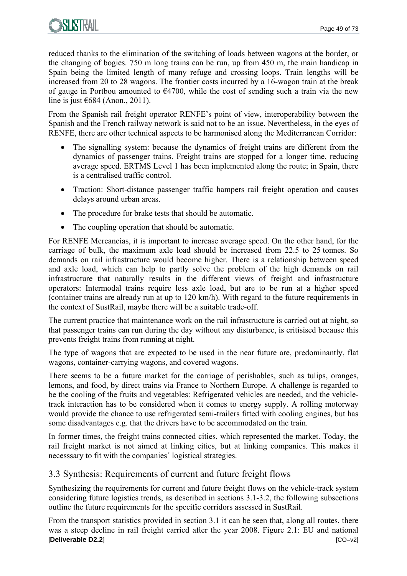

reduced thanks to the elimination of the switching of loads between wagons at the border, or the changing of bogies. 750 m long trains can be run, up from 450 m, the main handicap in Spain being the limited length of many refuge and crossing loops. Train lengths will be increased from 20 to 28 wagons. The frontier costs incurred by a 16-wagon train at the break of gauge in Portbou amounted to  $\epsilon$ 4700, while the cost of sending such a train via the new line is just  $\epsilon$ 684 (Anon., 2011).

From the Spanish rail freight operator RENFE's point of view, interoperability between the Spanish and the French railway network is said not to be an issue. Nevertheless, in the eyes of RENFE, there are other technical aspects to be harmonised along the Mediterranean Corridor:

- The signalling system: because the dynamics of freight trains are different from the dynamics of passenger trains. Freight trains are stopped for a longer time, reducing average speed. ERTMS Level 1 has been implemented along the route; in Spain, there is a centralised traffic control.
- Traction: Short-distance passenger traffic hampers rail freight operation and causes delays around urban areas.
- The procedure for brake tests that should be automatic.
- The coupling operation that should be automatic.

For RENFE Mercancías, it is important to increase average speed. On the other hand, for the carriage of bulk, the maximum axle load should be increased from 22.5 to 25 tonnes. So demands on rail infrastructure would become higher. There is a relationship between speed and axle load, which can help to partly solve the problem of the high demands on rail infrastructure that naturally results in the different views of freight and infrastructure operators: Intermodal trains require less axle load, but are to be run at a higher speed (container trains are already run at up to 120 km/h). With regard to the future requirements in the context of SustRail, maybe there will be a suitable trade-off.

The current practice that maintenance work on the rail infrastructure is carried out at night, so that passenger trains can run during the day without any disturbance, is critisised because this prevents freight trains from running at night.

The type of wagons that are expected to be used in the near future are, predominantly, flat wagons, container-carrying wagons, and covered wagons.

There seems to be a future market for the carriage of perishables, such as tulips, oranges, lemons, and food, by direct trains via France to Northern Europe. A challenge is regarded to be the cooling of the fruits and vegetables: Refrigerated vehicles are needed, and the vehicletrack interaction has to be considered when it comes to energy supply. A rolling motorway would provide the chance to use refrigerated semi-trailers fitted with cooling engines, but has some disadvantages e.g. that the drivers have to be accommodated on the train.

In former times, the freight trains connected cities, which represented the market. Today, the rail freight market is not aimed at linking cities, but at linking companies. This makes it necesssary to fit with the companies´ logistical strategies.

#### 3.3 Synthesis: Requirements of current and future freight flows

Synthesizing the requirements for current and future freight flows on the vehicle-track system considering future logistics trends, as described in sections 3.1-3.2, the following subsections outline the future requirements for the specific corridors assessed in SustRail.

[**Deliverable D2.2**] [CO–v2] From the transport statistics provided in section 3.1 it can be seen that, along all routes, there was a steep decline in rail freight carried after the year 2008. Figure 2.1: EU and national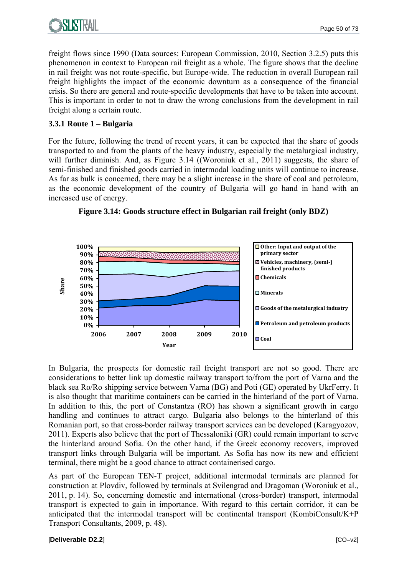

freight flows since 1990 (Data sources: European Commission, 2010, Section 3.2.5) puts this phenomenon in context to European rail freight as a whole. The figure shows that the decline in rail freight was not route-specific, but Europe-wide. The reduction in overall European rail freight highlights the impact of the economic downturn as a consequence of the financial crisis. So there are general and route-specific developments that have to be taken into account. This is important in order to not to draw the wrong conclusions from the development in rail freight along a certain route.

#### **3.3.1 Route 1 – Bulgaria**

For the future, following the trend of recent years, it can be expected that the share of goods transported to and from the plants of the heavy industry, especially the metalurgical industry, will further diminish. And, as Figure 3.14 ((Woroniuk et al., 2011) suggests, the share of semi-finished and finished goods carried in intermodal loading units will continue to increase. As far as bulk is concerned, there may be a slight increase in the share of coal and petroleum, as the economic development of the country of Bulgaria will go hand in hand with an increased use of energy.





In Bulgaria, the prospects for domestic rail freight transport are not so good. There are considerations to better link up domestic railway transport to/from the port of Varna and the black sea Ro/Ro shipping service between Varna (BG) and Poti (GE) operated by UkrFerry. It is also thought that maritime containers can be carried in the hinterland of the port of Varna. In addition to this, the port of Constantza (RO) has shown a significant growth in cargo handling and continues to attract cargo. Bulgaria also belongs to the hinterland of this Romanian port, so that cross-border railway transport services can be developed (Karagyozov, 2011). Experts also believe that the port of Thessaloniki (GR) could remain important to serve the hinterland around Sofia. On the other hand, if the Greek economy recovers, improved transport links through Bulgaria will be important. As Sofia has now its new and efficient terminal, there might be a good chance to attract containerised cargo.

As part of the European TEN-T project, additional intermodal terminals are planned for construction at Plovdiv, followed by terminals at Svilengrad and Dragoman (Woroniuk et al., 2011, p. 14). So, concerning domestic and international (cross-border) transport, intermodal transport is expected to gain in importance. With regard to this certain corridor, it can be anticipated that the intermodal transport will be continental transport (KombiConsult/K+P Transport Consultants, 2009, p. 48).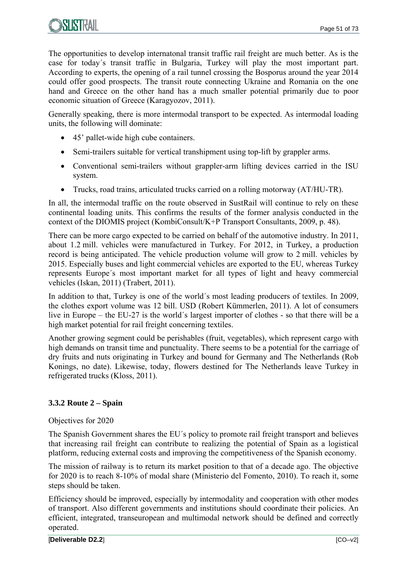The opportunities to develop internatonal transit traffic rail freight are much better. As is the case for today´s transit traffic in Bulgaria, Turkey will play the most important part. According to experts, the opening of a rail tunnel crossing the Bosporus around the year 2014 could offer good prospects. The transit route connecting Ukraine and Romania on the one hand and Greece on the other hand has a much smaller potential primarily due to poor economic situation of Greece (Karagyozov, 2011).

Generally speaking, there is more intermodal transport to be expected. As intermodal loading units, the following will dominate:

- 45' pallet-wide high cube containers.
- Semi-trailers suitable for vertical transhipment using top-lift by grappler arms.
- Conventional semi-trailers without grappler-arm lifting devices carried in the ISU system.
- Trucks, road trains, articulated trucks carried on a rolling motorway (AT/HU-TR).

In all, the intermodal traffic on the route observed in SustRail will continue to rely on these continental loading units. This confirms the results of the former analysis conducted in the context of the DIOMIS project (KombiConsult/K+P Transport Consultants, 2009, p. 48).

There can be more cargo expected to be carried on behalf of the automotive industry. In 2011, about 1.2 mill. vehicles were manufactured in Turkey. For 2012, in Turkey, a production record is being anticipated. The vehicle production volume will grow to 2 mill. vehicles by 2015. Especially buses and light commercial vehicles are exported to the EU, whereas Turkey represents Europe´s most important market for all types of light and heavy commercial vehicles (Iskan, 2011) (Trabert, 2011).

In addition to that, Turkey is one of the world´s most leading producers of textiles. In 2009, the clothes export volume was 12 bill. USD (Robert Kümmerlen, 2011). A lot of consumers live in Europe – the EU-27 is the world´s largest importer of clothes - so that there will be a high market potential for rail freight concerning textiles.

Another growing segment could be perishables (fruit, vegetables), which represent cargo with high demands on transit time and punctuality. There seems to be a potential for the carriage of dry fruits and nuts originating in Turkey and bound for Germany and The Netherlands (Rob Konings, no date). Likewise, today, flowers destined for The Netherlands leave Turkey in refrigerated trucks (Kloss, 2011).

#### **3.3.2 Route 2 – Spain**

#### Objectives for 2020

The Spanish Government shares the EU´s policy to promote rail freight transport and believes that increasing rail freight can contribute to realizing the potential of Spain as a logistical platform, reducing external costs and improving the competitiveness of the Spanish economy.

The mission of railway is to return its market position to that of a decade ago. The objective for 2020 is to reach 8-10% of modal share (Ministerio del Fomento, 2010). To reach it, some steps should be taken.

Efficiency should be improved, especially by intermodality and cooperation with other modes of transport. Also different governments and institutions should coordinate their policies. An efficient, integrated, transeuropean and multimodal network should be defined and correctly operated.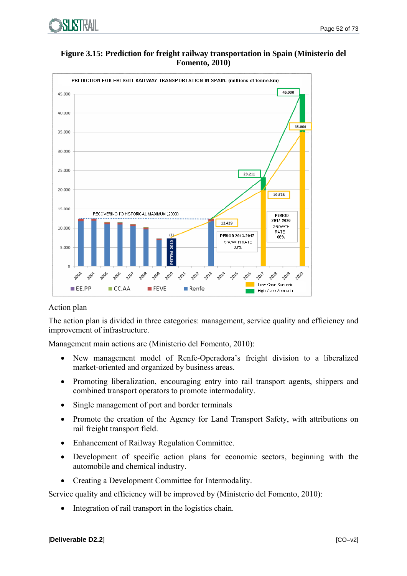

**Figure 3.15: Prediction for freight railway transportation in Spain (Ministerio del Fomento, 2010)** 



#### Action plan

The action plan is divided in three categories: management, service quality and efficiency and improvement of infrastructure.

Management main actions are (Ministerio del Fomento, 2010):

- New management model of Renfe-Operadora's freight division to a liberalized market-oriented and organized by business areas.
- Promoting liberalization, encouraging entry into rail transport agents, shippers and combined transport operators to promote intermodality.
- Single management of port and border terminals
- Promote the creation of the Agency for Land Transport Safety, with attributions on rail freight transport field.
- Enhancement of Railway Regulation Committee.
- Development of specific action plans for economic sectors, beginning with the automobile and chemical industry.
- Creating a Development Committee for Intermodality.

Service quality and efficiency will be improved by (Ministerio del Fomento, 2010):

• Integration of rail transport in the logistics chain.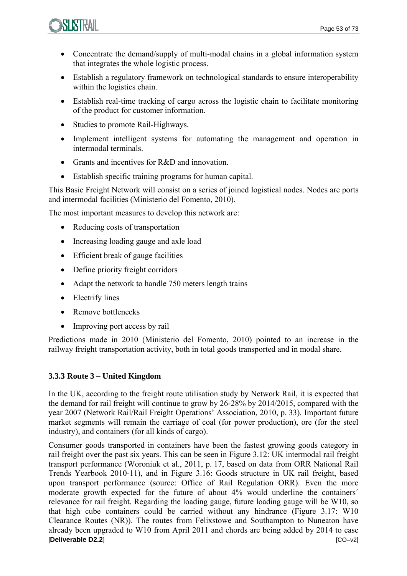

- Concentrate the demand/supply of multi-modal chains in a global information system that integrates the whole logistic process.
- Establish a regulatory framework on technological standards to ensure interoperability within the logistics chain.
- Establish real-time tracking of cargo across the logistic chain to facilitate monitoring of the product for customer information.
- Studies to promote Rail-Highways.
- Implement intelligent systems for automating the management and operation in intermodal terminals.
- Grants and incentives for R&D and innovation.
- Establish specific training programs for human capital.

This Basic Freight Network will consist on a series of joined logistical nodes. Nodes are ports and intermodal facilities (Ministerio del Fomento, 2010).

The most important measures to develop this network are:

- Reducing costs of transportation
- Increasing loading gauge and axle load
- Efficient break of gauge facilities
- Define priority freight corridors
- Adapt the network to handle 750 meters length trains
- Electrify lines
- Remove bottlenecks
- Improving port access by rail

Predictions made in 2010 (Ministerio del Fomento, 2010) pointed to an increase in the railway freight transportation activity, both in total goods transported and in modal share.

#### **3.3.3 Route 3 – United Kingdom**

In the UK, according to the freight route utilisation study by Network Rail, it is expected that the demand for rail freight will continue to grow by 26-28% by 2014/2015, compared with the year 2007 (Network Rail/Rail Freight Operations' Association, 2010, p. 33). Important future market segments will remain the carriage of coal (for power production), ore (for the steel industry), and containers (for all kinds of cargo).

[**Deliverable D2.2**] [CO–v2] Consumer goods transported in containers have been the fastest growing goods category in rail freight over the past six years. This can be seen in Figure 3.12: UK intermodal rail freight transport performance (Woroniuk et al., 2011, p. 17, based on data from ORR National Rail Trends Yearbook 2010-11), and in Figure 3.16: Goods structure in UK rail freight, based upon transport performance (source: Office of Rail Regulation ORR). Even the more moderate growth expected for the future of about 4% would underline the containers´ relevance for rail freight. Regarding the loading gauge, future loading gauge will be W10, so that high cube containers could be carried without any hindrance (Figure 3.17: W10 Clearance Routes (NR)). The routes from Felixstowe and Southampton to Nuneaton have already been upgraded to W10 from April 2011 and chords are being added by 2014 to ease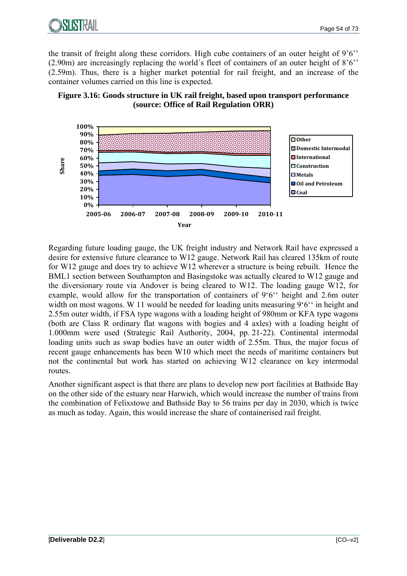

the transit of freight along these corridors. High cube containers of an outer height of 9'6'' (2.90m) are increasingly replacing the world´s fleet of containers of an outer height of 8'6'' (2.59m). Thus, there is a higher market potential for rail freight, and an increase of the container volumes carried on this line is expected.





Regarding future loading gauge, the UK freight industry and Network Rail have expressed a desire for extensive future clearance to W12 gauge. Network Rail has cleared 135km of route for W12 gauge and does try to achieve W12 wherever a structure is being rebuilt. Hence the BML1 section between Southampton and Basingstoke was actually cleared to W12 gauge and the diversionary route via Andover is being cleared to W12. The loading gauge W12, for example, would allow for the transportation of containers of 9'6'' height and 2.6m outer width on most wagons. W 11 would be needed for loading units measuring 9'6" in height and 2.55m outer width, if FSA type wagons with a loading height of 980mm or KFA type wagons (both are Class R ordinary flat wagons with bogies and 4 axles) with a loading height of 1.000mm were used (Strategic Rail Authority, 2004, pp. 21-22). Continental intermodal loading units such as swap bodies have an outer width of 2.55m. Thus, the major focus of recent gauge enhancements has been W10 which meet the needs of maritime containers but not the continental but work has started on achieving W12 clearance on key intermodal routes.

Another significant aspect is that there are plans to develop new port facilities at Bathside Bay on the other side of the estuary near Harwich, which would increase the number of trains from the combination of Felixstowe and Bathside Bay to 56 trains per day in 2030, which is twice as much as today. Again, this would increase the share of containerised rail freight.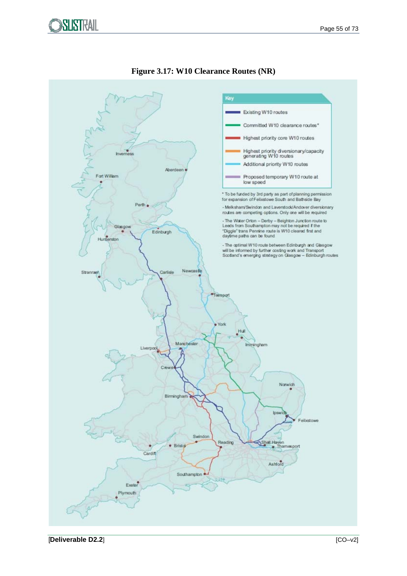



#### **Figure 3.17: W10 Clearance Routes (NR)**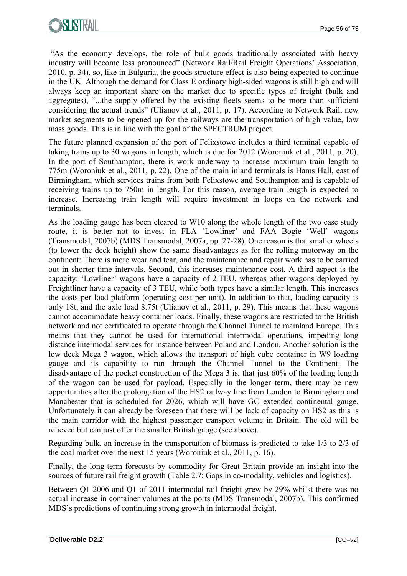"As the economy develops, the role of bulk goods traditionally associated with heavy industry will become less pronounced" (Network Rail/Rail Freight Operations' Association, 2010, p. 34), so, like in Bulgaria, the goods structure effect is also being expected to continue in the UK. Although the demand for Class E ordinary high-sided wagons is still high and will always keep an important share on the market due to specific types of freight (bulk and aggregates), "...the supply offered by the existing fleets seems to be more than sufficient considering the actual trends" (Ulianov et al., 2011, p. 17). According to Network Rail, new market segments to be opened up for the railways are the transportation of high value, low mass goods. This is in line with the goal of the SPECTRUM project.

The future planned expansion of the port of Felixstowe includes a third terminal capable of taking trains up to 30 wagons in length, which is due for 2012 (Woroniuk et al., 2011, p. 20). In the port of Southampton, there is work underway to increase maximum train length to 775m (Woroniuk et al., 2011, p. 22). One of the main inland terminals is Hams Hall, east of Birmingham, which services trains from both Felixstowe and Southampton and is capable of receiving trains up to 750m in length. For this reason, average train length is expected to increase. Increasing train length will require investment in loops on the network and terminals.

As the loading gauge has been cleared to W10 along the whole length of the two case study route, it is better not to invest in FLA 'Lowliner' and FAA Bogie 'Well' wagons (Transmodal, 2007b) (MDS Transmodal, 2007a, pp. 27-28). One reason is that smaller wheels (to lower the deck height) show the same disadvantages as for the rolling motorway on the continent: There is more wear and tear, and the maintenance and repair work has to be carried out in shorter time intervals. Second, this increases maintenance cost. A third aspect is the capacity: 'Lowliner' wagons have a capacity of 2 TEU, whereas other wagons deployed by Freightliner have a capacity of 3 TEU, while both types have a similar length. This increases the costs per load platform (operating cost per unit). In addition to that, loading capacity is only 18t, and the axle load 8.75t (Ulianov et al., 2011, p. 29). This means that these wagons cannot accommodate heavy container loads. Finally, these wagons are restricted to the British network and not certificated to operate through the Channel Tunnel to mainland Europe. This means that they cannot be used for international intermodal operations, impeding long distance intermodal services for instance between Poland and London. Another solution is the low deck Mega 3 wagon, which allows the transport of high cube container in W9 loading gauge and its capability to run through the Channel Tunnel to the Continent. The disadvantage of the pocket construction of the Mega 3 is, that just 60% of the loading length of the wagon can be used for payload. Especially in the longer term, there may be new opportunities after the prolongation of the HS2 railway line from London to Birmingham and Manchester that is scheduled for 2026, which will have GC extended continental gauge. Unfortunately it can already be foreseen that there will be lack of capacity on HS2 as this is the main corridor with the highest passenger transport volume in Britain. The old will be relieved but can just offer the smaller British gauge (see above).

Regarding bulk, an increase in the transportation of biomass is predicted to take 1/3 to 2/3 of the coal market over the next 15 years (Woroniuk et al., 2011, p. 16).

Finally, the long-term forecasts by commodity for Great Britain provide an insight into the sources of future rail freight growth (Table 2.7: Gaps in co-modality, vehicles and logistics).

Between Q1 2006 and Q1 of 2011 intermodal rail freight grew by 29% whilst there was no actual increase in container volumes at the ports (MDS Transmodal, 2007b). This confirmed MDS's predictions of continuing strong growth in intermodal freight.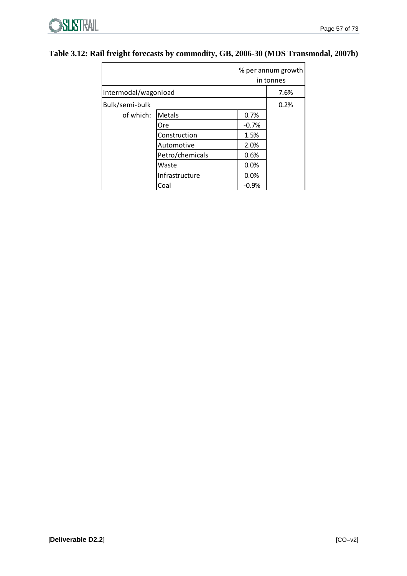#### **Table 3.12: Rail freight forecasts by commodity, GB, 2006-30 (MDS Transmodal, 2007b)**

|                      |                 |         | % per annum growth<br>in tonnes |
|----------------------|-----------------|---------|---------------------------------|
| Intermodal/wagonload |                 |         | 7.6%                            |
| Bulk/semi-bulk       |                 |         | 0.2%                            |
| of which:            | Metals          | 0.7%    |                                 |
|                      | Ore             | $-0.7%$ |                                 |
|                      | Construction    | 1.5%    |                                 |
|                      | Automotive      | 2.0%    |                                 |
|                      | Petro/chemicals | 0.6%    |                                 |
|                      | Waste           | 0.0%    |                                 |
|                      | Infrastructure  | 0.0%    |                                 |
|                      | Coal            | $-0.9%$ |                                 |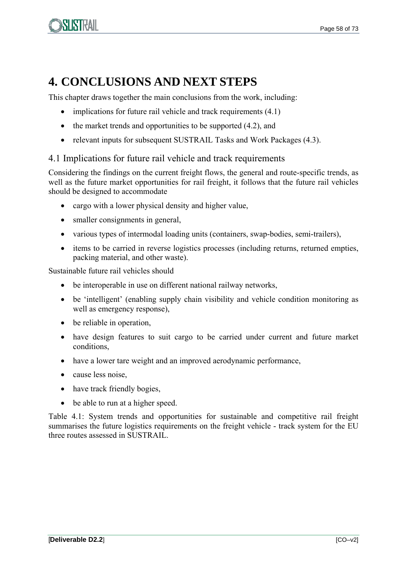

# **4. CONCLUSIONS AND NEXT STEPS**

This chapter draws together the main conclusions from the work, including:

- $\bullet$  implications for future rail vehicle and track requirements  $(4.1)$
- $\bullet$  the market trends and opportunities to be supported (4.2), and
- relevant inputs for subsequent SUSTRAIL Tasks and Work Packages (4.3).

#### 4.1 Implications for future rail vehicle and track requirements

Considering the findings on the current freight flows, the general and route-specific trends, as well as the future market opportunities for rail freight, it follows that the future rail vehicles should be designed to accommodate

- cargo with a lower physical density and higher value,
- smaller consignments in general,
- various types of intermodal loading units (containers, swap-bodies, semi-trailers),
- items to be carried in reverse logistics processes (including returns, returned empties, packing material, and other waste).

Sustainable future rail vehicles should

- be interoperable in use on different national railway networks,
- be 'intelligent' (enabling supply chain visibility and vehicle condition monitoring as well as emergency response),
- be reliable in operation,
- have design features to suit cargo to be carried under current and future market conditions,
- have a lower tare weight and an improved aerodynamic performance,
- cause less noise,
- have track friendly bogies,
- be able to run at a higher speed.

Table 4.1: System trends and opportunities for sustainable and competitive rail freight summarises the future logistics requirements on the freight vehicle - track system for the EU three routes assessed in SUSTRAIL.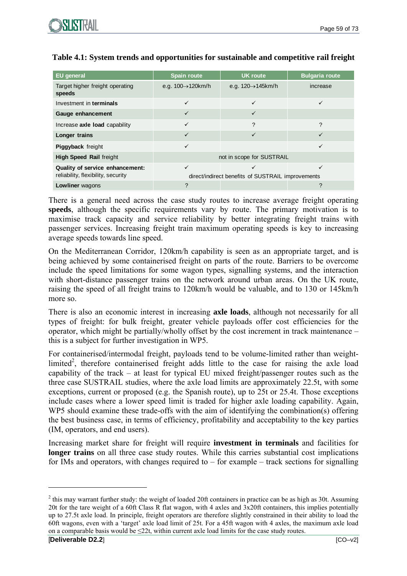

| <b>EU</b> general                         | <b>Spain route</b>                                | <b>UK</b> route                 | <b>Bulgaria route</b> |
|-------------------------------------------|---------------------------------------------------|---------------------------------|-----------------------|
| Target higher freight operating<br>speeds | e.g. $100 \rightarrow 120$ km/h                   | e.g. $120 \rightarrow 145$ km/h | increase              |
| Investment in terminals                   |                                                   |                                 |                       |
| Gauge enhancement                         |                                                   |                                 |                       |
| Increase axle load capability             | $\checkmark$                                      | ?                               | ?                     |
| Longer trains                             | ✓                                                 | $\checkmark$                    | ✓                     |
| Piggyback freight                         | ✓                                                 |                                 | ✓                     |
| <b>High Speed Rail freight</b>            | not in scope for SUSTRAIL                         |                                 |                       |
| Quality of service enhancement:           | ✓                                                 |                                 | ✓                     |
| reliability, flexibility, security        | direct/indirect benefits of SUSTRAIL improvements |                                 |                       |
| <b>Lowliner</b> wagons                    | ?                                                 |                                 | ?                     |

#### **Table 4.1: System trends and opportunities for sustainable and competitive rail freight**

There is a general need across the case study routes to increase average freight operating **speeds**, although the specific requirements vary by route. The primary motivation is to maximise track capacity and service reliability by better integrating freight trains with passenger services. Increasing freight train maximum operating speeds is key to increasing average speeds towards line speed.

On the Mediterranean Corridor, 120km/h capability is seen as an appropriate target, and is being achieved by some containerised freight on parts of the route. Barriers to be overcome include the speed limitations for some wagon types, signalling systems, and the interaction with short-distance passenger trains on the network around urban areas. On the UK route, raising the speed of all freight trains to 120km/h would be valuable, and to 130 or 145km/h more so.

There is also an economic interest in increasing **axle loads**, although not necessarily for all types of freight: for bulk freight, greater vehicle payloads offer cost efficiencies for the operator, which might be partially/wholly offset by the cost increment in track maintenance – this is a subject for further investigation in WP5.

For containerised/intermodal freight, payloads tend to be volume-limited rather than weightlimited<sup>2</sup>, therefore containerised freight adds little to the case for raising the axle load capability of the track – at least for typical EU mixed freight/passenger routes such as the three case SUSTRAIL studies, where the axle load limits are approximately 22.5t, with some exceptions, current or proposed (e.g. the Spanish route), up to 25t or 25.4t. Those exceptions include cases where a lower speed limit is traded for higher axle loading capability. Again, WP5 should examine these trade-offs with the aim of identifying the combination(s) offering the best business case, in terms of efficiency, profitability and acceptability to the key parties (IM, operators, and end users).

Increasing market share for freight will require **investment in terminals** and facilities for **longer trains** on all three case study routes. While this carries substantial cost implications for IMs and operators, with changes required to  $-$  for example  $-$  track sections for signalling

1

 $2$  this may warrant further study: the weight of loaded 20ft containers in practice can be as high as 30t. Assuming 20t for the tare weight of a 60ft Class R flat wagon, with 4 axles and 3x20ft containers, this implies potentially up to 27.5t axle load. In principle, freight operators are therefore slightly constrained in their ability to load the 60ft wagons, even with a 'target' axle load limit of 25t. For a 45ft wagon with 4 axles, the maximum axle load on a comparable basis would be  $\leq 22t$ , within current axle load limits for the case study routes.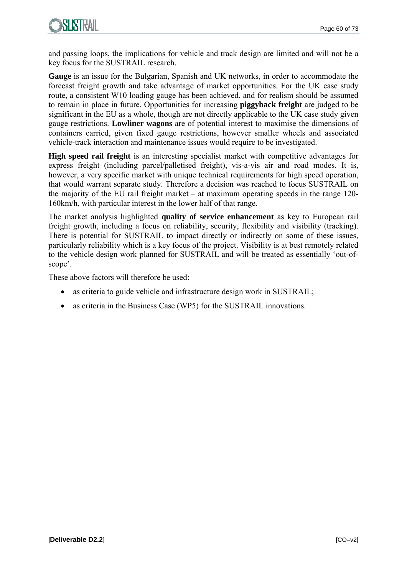

and passing loops, the implications for vehicle and track design are limited and will not be a key focus for the SUSTRAIL research.

**Gauge** is an issue for the Bulgarian, Spanish and UK networks, in order to accommodate the forecast freight growth and take advantage of market opportunities. For the UK case study route, a consistent W10 loading gauge has been achieved, and for realism should be assumed to remain in place in future. Opportunities for increasing **piggyback freight** are judged to be significant in the EU as a whole, though are not directly applicable to the UK case study given gauge restrictions. **Lowliner wagons** are of potential interest to maximise the dimensions of containers carried, given fixed gauge restrictions, however smaller wheels and associated vehicle-track interaction and maintenance issues would require to be investigated.

**High speed rail freight** is an interesting specialist market with competitive advantages for express freight (including parcel/palletised freight), vis-a-vis air and road modes. It is, however, a very specific market with unique technical requirements for high speed operation, that would warrant separate study. Therefore a decision was reached to focus SUSTRAIL on the majority of the EU rail freight market – at maximum operating speeds in the range 120- 160km/h, with particular interest in the lower half of that range.

The market analysis highlighted **quality of service enhancement** as key to European rail freight growth, including a focus on reliability, security, flexibility and visibility (tracking). There is potential for SUSTRAIL to impact directly or indirectly on some of these issues, particularly reliability which is a key focus of the project. Visibility is at best remotely related to the vehicle design work planned for SUSTRAIL and will be treated as essentially 'out-ofscope'.

These above factors will therefore be used:

- as criteria to guide vehicle and infrastructure design work in SUSTRAIL;
- as criteria in the Business Case (WP5) for the SUSTRAIL innovations.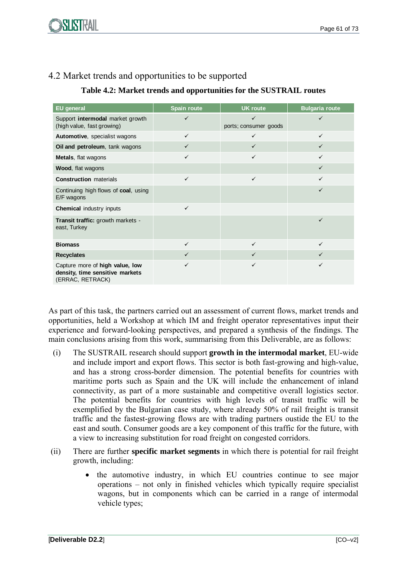

### 4.2 Market trends and opportunities to be supported

#### **Table 4.2: Market trends and opportunities for the SUSTRAIL routes**

| <b>EU</b> general                                                                      | <b>Spain route</b> | <b>UK route</b>       | <b>Bulgaria route</b> |
|----------------------------------------------------------------------------------------|--------------------|-----------------------|-----------------------|
| Support intermodal market growth<br>(high value, fast growing)                         | $\checkmark$       | ports; consumer goods | $\checkmark$          |
| Automotive, specialist wagons                                                          | $\checkmark$       | ✓                     | $\checkmark$          |
| Oil and petroleum, tank wagons                                                         | $\checkmark$       |                       | $\checkmark$          |
| Metals, flat wagons                                                                    | $\checkmark$       | $\checkmark$          | ✓                     |
| Wood, flat wagons                                                                      |                    |                       | $\checkmark$          |
| <b>Construction</b> materials                                                          | $\checkmark$       | $\checkmark$          | ✓                     |
| Continuing high flows of coal, using<br>E/F wagons                                     |                    |                       | $\checkmark$          |
| <b>Chemical industry inputs</b>                                                        | $\checkmark$       |                       |                       |
| <b>Transit traffic:</b> growth markets -<br>east, Turkey                               |                    |                       | ✓                     |
| <b>Biomass</b>                                                                         | $\checkmark$       | $\checkmark$          | $\checkmark$          |
| <b>Recyclates</b>                                                                      | $\checkmark$       |                       | $\checkmark$          |
| Capture more of high value, low<br>density, time sensitive markets<br>(ERRAC, RETRACK) | ✓                  | ✓                     | ✓                     |

As part of this task, the partners carried out an assessment of current flows, market trends and opportunities, held a Workshop at which IM and freight operator representatives input their experience and forward-looking perspectives, and prepared a synthesis of the findings. The main conclusions arising from this work, summarising from this Deliverable, are as follows:

- (i) The SUSTRAIL research should support **growth in the intermodal market**, EU-wide and include import and export flows. This sector is both fast-growing and high-value, and has a strong cross-border dimension. The potential benefits for countries with maritime ports such as Spain and the UK will include the enhancement of inland connectivity, as part of a more sustainable and competitive overall logistics sector. The potential benefits for countries with high levels of transit traffic will be exemplified by the Bulgarian case study, where already 50% of rail freight is transit traffic and the fastest-growing flows are with trading partners oustide the EU to the east and south. Consumer goods are a key component of this traffic for the future, with a view to increasing substitution for road freight on congested corridors.
- (ii) There are further **specific market segments** in which there is potential for rail freight growth, including:
	- the automotive industry, in which EU countries continue to see major operations – not only in finished vehicles which typically require specialist wagons, but in components which can be carried in a range of intermodal vehicle types;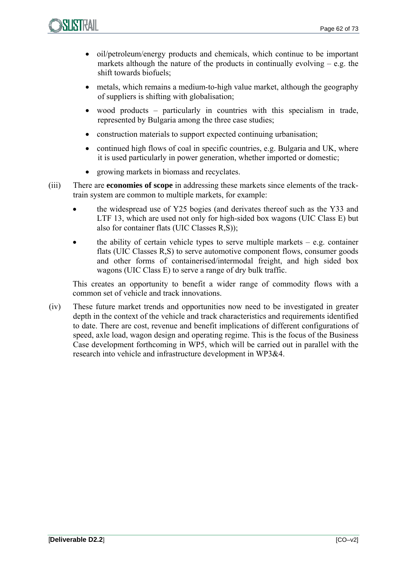- oil/petroleum/energy products and chemicals, which continue to be important markets although the nature of the products in continually evolving  $-$  e.g. the shift towards biofuels;
- metals, which remains a medium-to-high value market, although the geography of suppliers is shifting with globalisation;
- wood products particularly in countries with this specialism in trade, represented by Bulgaria among the three case studies;
- construction materials to support expected continuing urbanisation;
- continued high flows of coal in specific countries, e.g. Bulgaria and UK, where it is used particularly in power generation, whether imported or domestic;
- growing markets in biomass and recyclates.
- (iii) There are **economies of scope** in addressing these markets since elements of the tracktrain system are common to multiple markets, for example:
	- the widespread use of Y25 bogies (and derivates thereof such as the Y33 and LTF 13, which are used not only for high-sided box wagons (UIC Class E) but also for container flats (UIC Classes R,S));
	- the ability of certain vehicle types to serve multiple markets  $-$  e.g. container flats (UIC Classes R,S) to serve automotive component flows, consumer goods and other forms of containerised/intermodal freight, and high sided box wagons (UIC Class E) to serve a range of dry bulk traffic.

This creates an opportunity to benefit a wider range of commodity flows with a common set of vehicle and track innovations.

(iv) These future market trends and opportunities now need to be investigated in greater depth in the context of the vehicle and track characteristics and requirements identified to date. There are cost, revenue and benefit implications of different configurations of speed, axle load, wagon design and operating regime. This is the focus of the Business Case development forthcoming in WP5, which will be carried out in parallel with the research into vehicle and infrastructure development in WP3&4.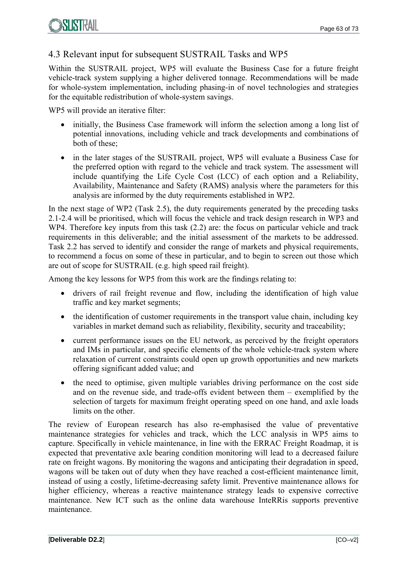### 4.3 Relevant input for subsequent SUSTRAIL Tasks and WP5

Within the SUSTRAIL project, WP5 will evaluate the Business Case for a future freight vehicle-track system supplying a higher delivered tonnage. Recommendations will be made for whole-system implementation, including phasing-in of novel technologies and strategies for the equitable redistribution of whole-system savings.

WP5 will provide an iterative filter:

- initially, the Business Case framework will inform the selection among a long list of potential innovations, including vehicle and track developments and combinations of both of these;
- in the later stages of the SUSTRAIL project, WP5 will evaluate a Business Case for the preferred option with regard to the vehicle and track system. The assessment will include quantifying the Life Cycle Cost (LCC) of each option and a Reliability, Availability, Maintenance and Safety (RAMS) analysis where the parameters for this analysis are informed by the duty requirements established in WP2.

In the next stage of WP2 (Task 2.5), the duty requirements generated by the preceding tasks 2.1-2.4 will be prioritised, which will focus the vehicle and track design research in WP3 and WP4. Therefore key inputs from this task  $(2.2)$  are: the focus on particular vehicle and track requirements in this deliverable; and the initial assessment of the markets to be addressed. Task 2.2 has served to identify and consider the range of markets and physical requirements, to recommend a focus on some of these in particular, and to begin to screen out those which are out of scope for SUSTRAIL (e.g. high speed rail freight).

Among the key lessons for WP5 from this work are the findings relating to:

- drivers of rail freight revenue and flow, including the identification of high value traffic and key market segments;
- the identification of customer requirements in the transport value chain, including key variables in market demand such as reliability, flexibility, security and traceability;
- current performance issues on the EU network, as perceived by the freight operators and IMs in particular, and specific elements of the whole vehicle-track system where relaxation of current constraints could open up growth opportunities and new markets offering significant added value; and
- the need to optimise, given multiple variables driving performance on the cost side and on the revenue side, and trade-offs evident between them – exemplified by the selection of targets for maximum freight operating speed on one hand, and axle loads limits on the other.

The review of European research has also re-emphasised the value of preventative maintenance strategies for vehicles and track, which the LCC analysis in WP5 aims to capture. Specifically in vehicle maintenance, in line with the ERRAC Freight Roadmap, it is expected that preventative axle bearing condition monitoring will lead to a decreased failure rate on freight wagons. By monitoring the wagons and anticipating their degradation in speed, wagons will be taken out of duty when they have reached a cost-efficient maintenance limit, instead of using a costly, lifetime-decreasing safety limit. Preventive maintenance allows for higher efficiency, whereas a reactive maintenance strategy leads to expensive corrective maintenance. New ICT such as the online data warehouse InteRRis supports preventive maintenance.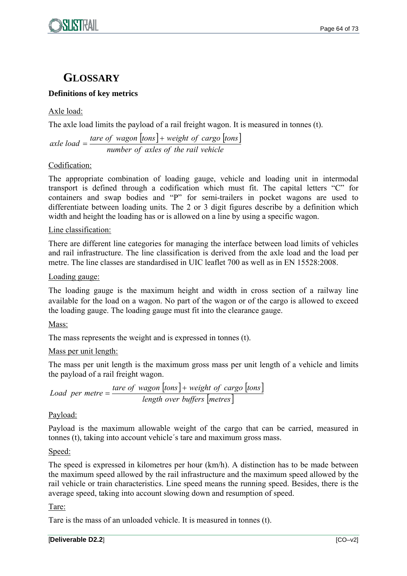# **GLOSSARY**

#### **Definitions of key metrics**

Axle load:

The axle load limits the payload of a rail freight wagon. It is measured in tonnes (t).

 $|tons| + weight of cargo |tons|$ *number of axles of the rail vehicle*  $\alpha$  *tare* of *wagon*  $\lfloor \tan s \rfloor +$  *weight* of *cargo*  $\lfloor \tan s \rfloor$ 

#### Codification:

The appropriate combination of loading gauge, vehicle and loading unit in intermodal transport is defined through a codification which must fit. The capital letters "C" for containers and swap bodies and "P" for semi-trailers in pocket wagons are used to differentiate between loading units. The 2 or 3 digit figures describe by a definition which width and height the loading has or is allowed on a line by using a specific wagon.

Line classification:

There are different line categories for managing the interface between load limits of vehicles and rail infrastructure. The line classification is derived from the axle load and the load per metre. The line classes are standardised in UIC leaflet 700 as well as in EN 15528:2008.

#### Loading gauge:

The loading gauge is the maximum height and width in cross section of a railway line available for the load on a wagon. No part of the wagon or of the cargo is allowed to exceed the loading gauge. The loading gauge must fit into the clearance gauge.

#### Mass:

The mass represents the weight and is expressed in tonnes (t).

#### Mass per unit length:

The mass per unit length is the maximum gross mass per unit length of a vehicle and limits the payload of a rail freight wagon.

 $|tons| + weight of cargo |tons|$ *length over buffers metres tare of wagon*  $\lfloor$ *tons* $\rfloor$ + *weight of cargo*  $\lfloor$ *tons* 

#### Payload:

Payload is the maximum allowable weight of the cargo that can be carried, measured in tonnes (t), taking into account vehicle´s tare and maximum gross mass.

#### Speed:

The speed is expressed in kilometres per hour (km/h). A distinction has to be made between the maximum speed allowed by the rail infrastructure and the maximum speed allowed by the rail vehicle or train characteristics. Line speed means the running speed. Besides, there is the average speed, taking into account slowing down and resumption of speed.

#### Tare:

Tare is the mass of an unloaded vehicle. It is measured in tonnes (t).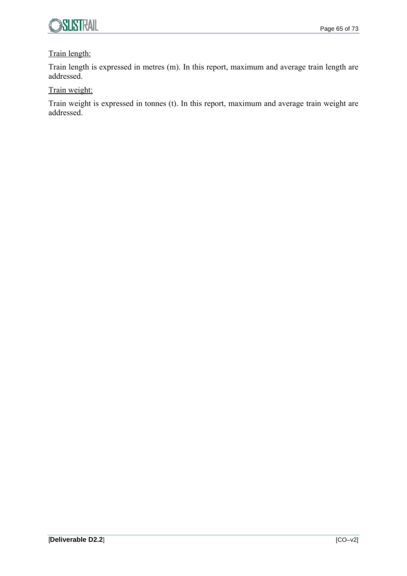

#### Train length:

Train length is expressed in metres (m). In this report, maximum and average train length are addressed.

#### Train weight:

Train weight is expressed in tonnes (t). In this report, maximum and average train weight are addressed.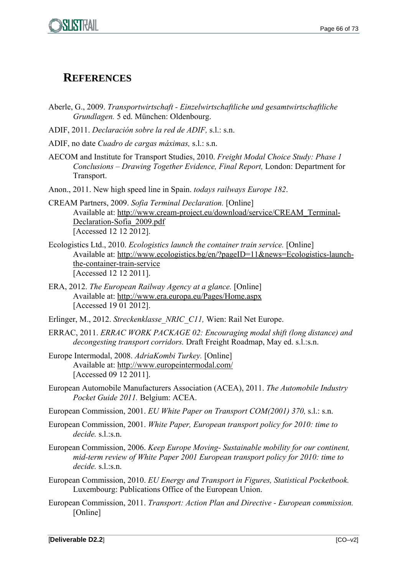

## **REFERENCES**

- Aberle, G., 2009. *Transportwirtschaft Einzelwirtschaftliche und gesamtwirtschaftliche Grundlagen.* 5 ed. München: Oldenbourg.
- ADIF, 2011. *Declaración sobre la red de ADIF,* s.l.: s.n.
- ADIF, no date *Cuadro de cargas máximas,* s.l.: s.n.
- AECOM and Institute for Transport Studies, 2010. *Freight Modal Choice Study: Phase 1 Conclusions – Drawing Together Evidence, Final Report,* London: Department for Transport.
- Anon., 2011. New high speed line in Spain. *todays railways Europe 182*.
- CREAM Partners, 2009. *Sofia Terminal Declaration.* [Online] Available at: http://www.cream-project.eu/download/service/CREAM\_Terminal-Declaration-Sofia\_2009.pdf [Accessed 12 12 2012].
- Ecologistics Ltd., 2010. *Ecologistics launch the container train service.* [Online] Available at: http://www.ecologistics.bg/en/?pageID=11&news=Ecologistics-launchthe-container-train-service [Accessed 12 12 2011].
- ERA, 2012. *The European Railway Agency at a glance.* [Online] Available at: http://www.era.europa.eu/Pages/Home.aspx [Accessed 19 01 2012].
- Erlinger, M., 2012. *Streckenklasse\_NRIC\_C11,* Wien: Rail Net Europe.
- ERRAC, 2011. *ERRAC WORK PACKAGE 02: Encouraging modal shift (long distance) and decongesting transport corridors.* Draft Freight Roadmap, May ed. s.l.:s.n.
- Europe Intermodal, 2008. *AdriaKombi Turkey.* [Online] Available at: http://www.europeintermodal.com/ [Accessed 09 12 2011].
- European Automobile Manufacturers Association (ACEA), 2011. *The Automobile Industry Pocket Guide 2011.* Belgium: ACEA.
- European Commission, 2001. *EU White Paper on Transport COM(2001) 370,* s.l.: s.n.
- European Commission, 2001. *White Paper, European transport policy for 2010: time to decide.* s.l.:s.n.
- European Commission, 2006. *Keep Europe Moving- Sustainable mobility for our continent, mid-term review of White Paper 2001 European transport policy for 2010: time to decide.* s.l.:s.n.
- European Commission, 2010. *EU Energy and Transport in Figures, Statistical Pocketbook.*  Luxembourg: Publications Office of the European Union.
- European Commission, 2011. *Transport: Action Plan and Directive European commission.*  [Online]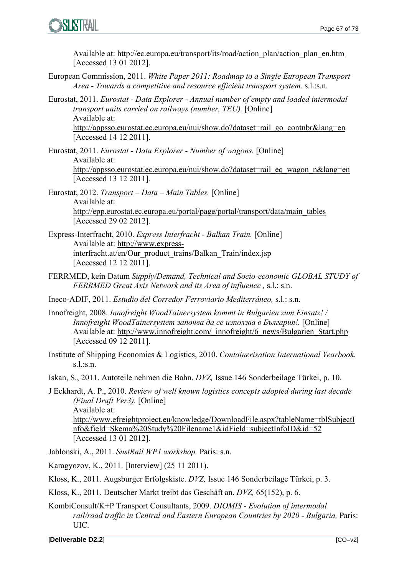

Available at: http://ec.europa.eu/transport/its/road/action\_plan/action\_plan\_en.htm [Accessed 13 01 2012].

- European Commission, 2011. *White Paper 2011: Roadmap to a Single European Transport Area - Towards a competitive and resource efficient transport system.* s.l.:s.n.
- Eurostat, 2011. *Eurostat Data Explorer Annual number of empty and loaded intermodal transport units carried on railways (number, TEU).* [Online] Available at:

http://appsso.eurostat.ec.europa.eu/nui/show.do?dataset=rail\_go\_contnbr&lang=en [Accessed 14 12 2011].

- Eurostat, 2011. *Eurostat Data Explorer Number of wagons.* [Online] Available at: http://appsso.eurostat.ec.europa.eu/nui/show.do?dataset=rail\_eq\_wagon\_n&lang=en [Accessed 13 12 2011].
- Eurostat, 2012. *Transport Data Main Tables.* [Online] Available at: http://epp.eurostat.ec.europa.eu/portal/page/portal/transport/data/main\_tables [Accessed 29 02 2012].
- Express-Interfracht, 2010. *Express Interfracht Balkan Train.* [Online] Available at: http://www.expressinterfracht.at/en/Our\_product\_trains/Balkan\_Train/index.jsp [Accessed 12 12 2011].
- FERRMED, kein Datum *Supply/Demand, Technical and Socio-economic GLOBAL STUDY of FERRMED Great Axis Network and its Area of influence ,* s.l.: s.n.
- Ineco-ADIF, 2011. *Estudio del Corredor Ferroviario Mediterráneo,* s.l.: s.n.
- Innofreight, 2008. *Innofreight WoodTainersystem kommt in Bulgarien zum Einsatz! / Innofreight WoodTainersystem започва да се използва в България!.* [Online] Available at: http://www.innofreight.com/\_innofreight/6\_news/Bulgarien\_Start.php [Accessed 09 12 2011].
- Institute of Shipping Economics & Logistics, 2010. *Containerisation International Yearbook.*  s.l.:s.n.
- Iskan, S., 2011. Autoteile nehmen die Bahn. *DVZ,* Issue 146 Sonderbeilage Türkei, p. 10.
- J Eckhardt, A. P., 2010. *Review of well known logistics concepts adopted during last decade (Final Draft Ver3).* [Online] Available at: http://www.efreightproject.eu/knowledge/DownloadFile.aspx?tableName=tblSubjectI nfo&field=Skema%20Study%20Filename1&idField=subjectInfoID&id=52 [Accessed 13 01 2012].
- Jablonski, A., 2011. *SustRail WP1 workshop.* Paris: s.n.

Karagyozov, K., 2011. [Interview] (25 11 2011).

- Kloss, K., 2011. Augsburger Erfolgskiste. *DVZ,* Issue 146 Sonderbeilage Türkei, p. 3.
- Kloss, K., 2011. Deutscher Markt treibt das Geschäft an. *DVZ,* 65(152), p. 6.
- KombiConsult/K+P Transport Consultants, 2009. *DIOMIS Evolution of intermodal rail/road traffic in Central and Eastern European Countries by 2020 - Bulgaria, Paris:* UIC.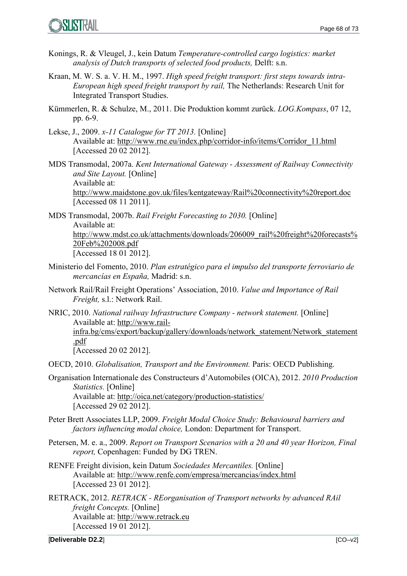- Konings, R. & Vleugel, J., kein Datum *Temperature-controlled cargo logistics: market analysis of Dutch transports of selected food products,* Delft: s.n.
- Kraan, M. W. S. a. V. H. M., 1997. *High speed freight transport: first steps towards intra-European high speed freight transport by rail,* The Netherlands: Research Unit for Integrated Transport Studies.
- Kümmerlen, R. & Schulze, M., 2011. Die Produktion kommt zurück. *LOG.Kompass*, 07 12, pp. 6-9.
- Lekse, J., 2009. *x-11 Catalogue for TT 2013.* [Online] Available at: http://www.rne.eu/index.php/corridor-info/items/Corridor\_11.html [Accessed 20 02 2012].
- MDS Transmodal, 2007a. *Kent International Gateway Assessment of Railway Connectivity and Site Layout.* [Online] Available at: http://www.maidstone.gov.uk/files/kentgateway/Rail%20connectivity%20report.doc [Accessed 08 11 2011].
- MDS Transmodal, 2007b. *Rail Freight Forecasting to 2030.* [Online] Available at: http://www.mdst.co.uk/attachments/downloads/206009\_rail%20freight%20forecasts% 20Feb%202008.pdf [Accessed 18 01 2012].
- Ministerio del Fomento, 2010. *Plan estratégico para el impulso del transporte ferroviario de mercancías en España,* Madrid: s.n.
- Network Rail/Rail Freight Operations' Association, 2010. *Value and Importance of Rail Freight,* s.l.: Network Rail.
- NRIC, 2010. *National railway Infrastructure Company network statement.* [Online] Available at: http://www.railinfra.bg/cms/export/backup/gallery/downloads/network\_statement/Network\_statement .pdf [Accessed 20 02 2012].
- OECD, 2010. *Globalisation, Transport and the Environment.* Paris: OECD Publishing.
- Organisation Internationale des Constructeurs d'Automobiles (OICA), 2012. *2010 Production Statistics.* [Online] Available at: http://oica.net/category/production-statistics/ [Accessed 29 02 2012].
- Peter Brett Associates LLP, 2009. *Freight Modal Choice Study: Behavioural barriers and factors influencing modal choice,* London: Department for Transport.
- Petersen, M. e. a., 2009. *Report on Transport Scenarios with a 20 and 40 year Horizon, Final report,* Copenhagen: Funded by DG TREN.
- RENFE Freight division, kein Datum *Sociedades Mercantiles.* [Online] Available at: http://www.renfe.com/empresa/mercancias/index.html [Accessed 23 01 2012].
- RETRACK, 2012. *RETRACK REorganisation of Transport networks by advanced RAil freight Concepts.* [Online] Available at: http://www.retrack.eu [Accessed 19 01 2012].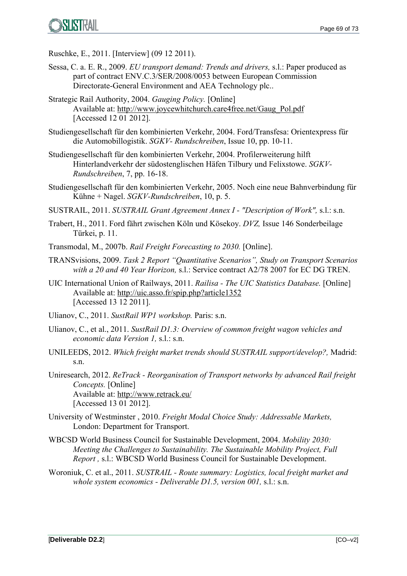Ruschke, E., 2011. [Interview] (09 12 2011).

- Sessa, C. a. E. R., 2009. *EU transport demand: Trends and drivers,* s.l.: Paper produced as part of contract ENV.C.3/SER/2008/0053 between European Commission Directorate-General Environment and AEA Technology plc..
- Strategic Rail Authority, 2004. *Gauging Policy.* [Online] Available at: http://www.joycewhitchurch.care4free.net/Gaug\_Pol.pdf [Accessed 12 01 2012].
- Studiengesellschaft für den kombinierten Verkehr, 2004. Ford/Transfesa: Orientexpress für die Automobillogistik. *SGKV- Rundschreiben*, Issue 10, pp. 10-11.
- Studiengesellschaft für den kombinierten Verkehr, 2004. Profilerweiterung hilft Hinterlandverkehr der südostenglischen Häfen Tilbury und Felixstowe. *SGKV-Rundschreiben*, 7, pp. 16-18.
- Studiengesellschaft für den kombinierten Verkehr, 2005. Noch eine neue Bahnverbindung für Kühne + Nagel. *SGKV-Rundschreiben*, 10, p. 5.
- SUSTRAIL, 2011. *SUSTRAIL Grant Agreement Annex I "Description of Work",* s.l.: s.n.
- Trabert, H., 2011. Ford fährt zwischen Köln und Kösekoy. *DVZ,* Issue 146 Sonderbeilage Türkei, p. 11.
- Transmodal, M., 2007b. *Rail Freight Forecasting to 2030.* [Online].
- TRANSvisions, 2009. *Task 2 Report "Quantitative Scenarios", Study on Transport Scenarios with a 20 and 40 Year Horizon,* s.l.: Service contract A2/78 2007 for EC DG TREN.
- UIC International Union of Railways, 2011. *Railisa The UIC Statistics Database.* [Online] Available at: http://uic.asso.fr/spip.php?article1352 [Accessed 13 12 2011].
- Ulianov, C., 2011. *SustRail WP1 workshop.* Paris: s.n.
- Ulianov, C., et al., 2011. *SustRail D1.3: Overview of common freight wagon vehicles and economic data Version 1,* s.l.: s.n.
- UNILEEDS, 2012. *Which freight market trends should SUSTRAIL support/develop?,* Madrid: s.n.
- Uniresearch, 2012. *ReTrack Reorganisation of Transport networks by advanced Rail freight Concepts.* [Online] Available at: http://www.retrack.eu/ [Accessed 13 01 2012].
- University of Westminster , 2010. *Freight Modal Choice Study: Addressable Markets,*  London: Department for Transport.
- WBCSD World Business Council for Sustainable Development, 2004. *Mobility 2030: Meeting the Challenges to Sustainability. The Sustainable Mobility Project, Full Report ,* s.l.: WBCSD World Business Council for Sustainable Development.
- Woroniuk, C. et al., 2011. *SUSTRAIL Route summary: Logistics, local freight market and whole system economics - Deliverable D1.5, version 001,* s.l.: s.n.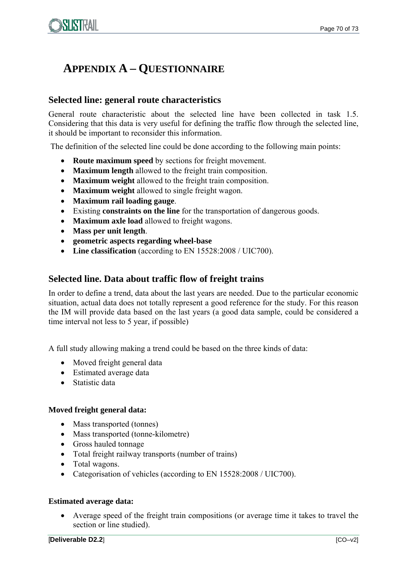

# **APPENDIX A – QUESTIONNAIRE**

#### **Selected line: general route characteristics**

General route characteristic about the selected line have been collected in task 1.5. Considering that this data is very useful for defining the traffic flow through the selected line, it should be important to reconsider this information.

The definition of the selected line could be done according to the following main points:

- **Route maximum speed** by sections for freight movement.
- **Maximum length** allowed to the freight train composition.
- **Maximum weight** allowed to the freight train composition.
- **Maximum weight** allowed to single freight wagon.
- **Maximum rail loading gauge**.
- Existing **constraints on the line** for the transportation of dangerous goods.
- **Maximum axle load** allowed to freight wagons.
- **Mass per unit length**.
- **geometric aspects regarding wheel-base**
- Line classification (according to EN 15528:2008 / UIC700).

#### **Selected line. Data about traffic flow of freight trains**

In order to define a trend, data about the last years are needed. Due to the particular economic situation, actual data does not totally represent a good reference for the study. For this reason the IM will provide data based on the last years (a good data sample, could be considered a time interval not less to 5 year, if possible)

A full study allowing making a trend could be based on the three kinds of data:

- Moved freight general data
- Estimated average data
- Statistic data

#### **Moved freight general data:**

- Mass transported (tonnes)
- Mass transported (tonne-kilometre)
- Gross hauled tonnage
- Total freight railway transports (number of trains)
- Total wagons.
- Categorisation of vehicles (according to EN 15528:2008 / UIC700).

#### **Estimated average data:**

 Average speed of the freight train compositions (or average time it takes to travel the section or line studied).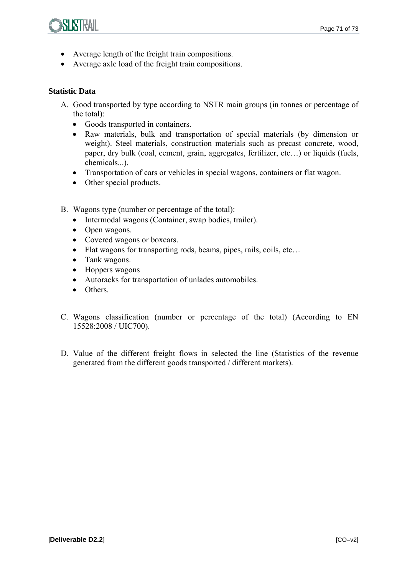

- Average length of the freight train compositions.
- Average axle load of the freight train compositions.

#### **Statistic Data**

- A. Good transported by type according to NSTR main groups (in tonnes or percentage of the total):
	- Goods transported in containers.
	- Raw materials, bulk and transportation of special materials (by dimension or weight). Steel materials, construction materials such as precast concrete, wood, paper, dry bulk (coal, cement, grain, aggregates, fertilizer, etc…) or liquids (fuels, chemicals...).
	- Transportation of cars or vehicles in special wagons, containers or flat wagon.
	- Other special products.
- B. Wagons type (number or percentage of the total):
	- Intermodal wagons (Container, swap bodies, trailer).
	- Open wagons.
	- Covered wagons or boxcars.
	- Flat wagons for transporting rods, beams, pipes, rails, coils, etc...
	- Tank wagons.
	- Hoppers wagons
	- Autoracks for transportation of unlades automobiles.
	- Others
- C. Wagons classification (number or percentage of the total) (According to EN 15528:2008 / UIC700).
- D. Value of the different freight flows in selected the line (Statistics of the revenue generated from the different goods transported / different markets).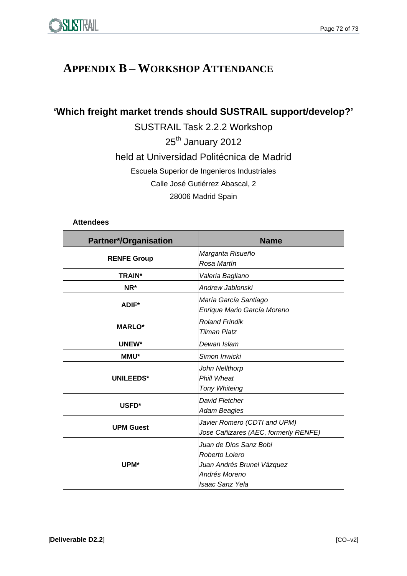# **APPENDIX B – WORKSHOP ATTENDANCE**

**'Which freight market trends should SUSTRAIL support/develop?'** 

SUSTRAIL Task 2.2.2 Workshop 25<sup>th</sup> January 2012 held at Universidad Politécnica de Madrid Escuela Superior de Ingenieros Industriales Calle José Gutiérrez Abascal, 2 28006 Madrid Spain

#### **Attendees**

| <b>Partner*/Organisation</b> | <b>Name</b>                                                                                                       |  |
|------------------------------|-------------------------------------------------------------------------------------------------------------------|--|
| <b>RENFE Group</b>           | Margarita Risueño<br>Rosa Martín                                                                                  |  |
| <b>TRAIN*</b>                | Valeria Bagliano                                                                                                  |  |
| NR*                          | Andrew Jablonski                                                                                                  |  |
| <b>ADIF*</b>                 | María García Santiago<br>Enrique Mario García Moreno                                                              |  |
| <b>MARLO*</b>                | <b>Roland Frindik</b><br><b>Tilman Platz</b>                                                                      |  |
| UNEW*                        | Dewan Islam                                                                                                       |  |
| <b>MMU*</b>                  | Simon Inwicki                                                                                                     |  |
| <b>UNILEEDS*</b>             | John Nellthorp<br><b>Phill Wheat</b><br><b>Tony Whiteing</b>                                                      |  |
| USFD*                        | David Fletcher<br>Adam Beagles                                                                                    |  |
| <b>UPM Guest</b>             | Javier Romero (CDTI and UPM)<br>Jose Cañizares (AEC, formerly RENFE)                                              |  |
| UPM*                         | Juan de Dios Sanz Bobi<br>Roberto Loiero<br>Juan Andrés Brunel Vázquez<br>Andrés Moreno<br><b>Isaac Sanz Yela</b> |  |